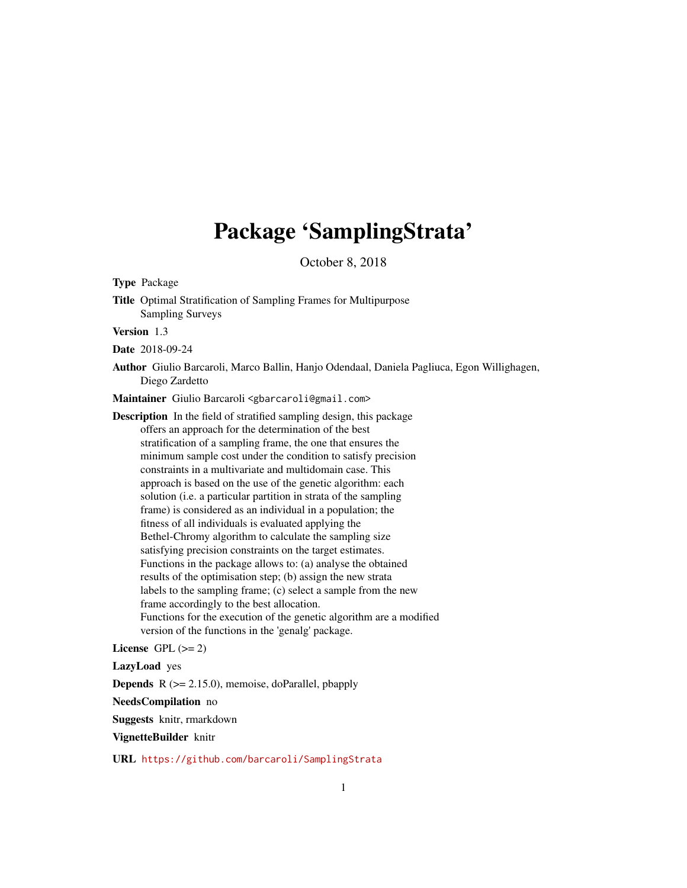# Package 'SamplingStrata'

October 8, 2018

Type Package

Title Optimal Stratification of Sampling Frames for Multipurpose Sampling Surveys

Version 1.3

Date 2018-09-24

Author Giulio Barcaroli, Marco Ballin, Hanjo Odendaal, Daniela Pagliuca, Egon Willighagen, Diego Zardetto

Maintainer Giulio Barcaroli <gbarcaroli@gmail.com>

Description In the field of stratified sampling design, this package offers an approach for the determination of the best stratification of a sampling frame, the one that ensures the minimum sample cost under the condition to satisfy precision constraints in a multivariate and multidomain case. This approach is based on the use of the genetic algorithm: each solution (i.e. a particular partition in strata of the sampling frame) is considered as an individual in a population; the fitness of all individuals is evaluated applying the Bethel-Chromy algorithm to calculate the sampling size satisfying precision constraints on the target estimates. Functions in the package allows to: (a) analyse the obtained results of the optimisation step; (b) assign the new strata labels to the sampling frame; (c) select a sample from the new frame accordingly to the best allocation. Functions for the execution of the genetic algorithm are a modified version of the functions in the 'genalg' package.

License GPL  $(>= 2)$ 

LazyLoad yes

**Depends**  $R$  ( $>= 2.15.0$ ), memoise, doParallel, pbapply

NeedsCompilation no

Suggests knitr, rmarkdown

VignetteBuilder knitr

URL <https://github.com/barcaroli/SamplingStrata>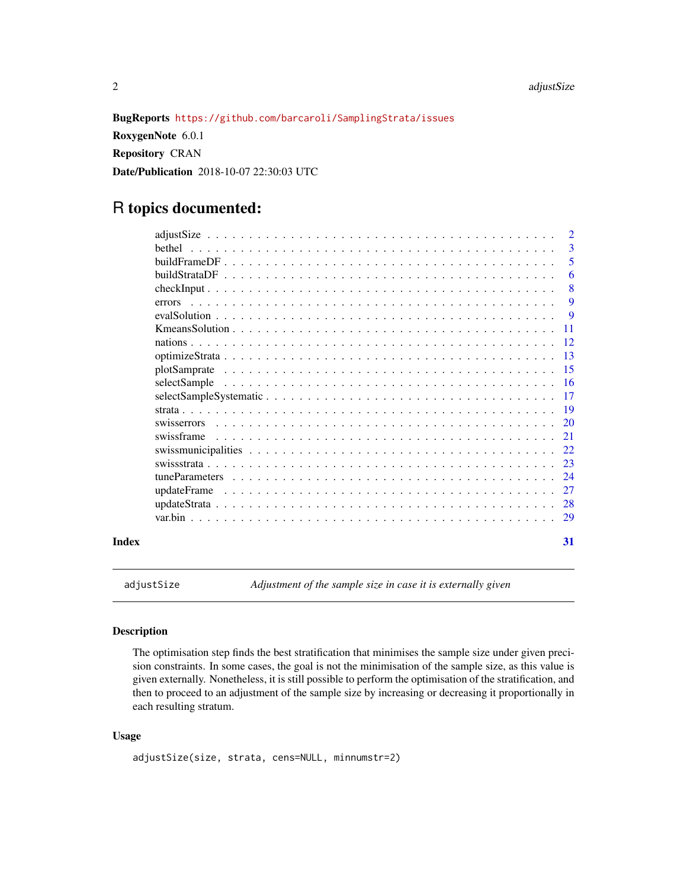<span id="page-1-0"></span>BugReports <https://github.com/barcaroli/SamplingStrata/issues>

RoxygenNote 6.0.1 Repository CRAN Date/Publication 2018-10-07 22:30:03 UTC

## R topics documented:

|             |  |  |  |  |  |  |  |  |  |  |  |  |  | $\overline{2}$ |
|-------------|--|--|--|--|--|--|--|--|--|--|--|--|--|----------------|
| hethel      |  |  |  |  |  |  |  |  |  |  |  |  |  | 3              |
|             |  |  |  |  |  |  |  |  |  |  |  |  |  | 5              |
|             |  |  |  |  |  |  |  |  |  |  |  |  |  | 6              |
|             |  |  |  |  |  |  |  |  |  |  |  |  |  | 8              |
| errors      |  |  |  |  |  |  |  |  |  |  |  |  |  | 9              |
|             |  |  |  |  |  |  |  |  |  |  |  |  |  | <b>9</b>       |
|             |  |  |  |  |  |  |  |  |  |  |  |  |  | -11            |
|             |  |  |  |  |  |  |  |  |  |  |  |  |  | -12            |
|             |  |  |  |  |  |  |  |  |  |  |  |  |  | 13             |
|             |  |  |  |  |  |  |  |  |  |  |  |  |  | -15            |
|             |  |  |  |  |  |  |  |  |  |  |  |  |  | -16            |
|             |  |  |  |  |  |  |  |  |  |  |  |  |  | -17            |
|             |  |  |  |  |  |  |  |  |  |  |  |  |  | -19            |
|             |  |  |  |  |  |  |  |  |  |  |  |  |  |                |
| swisserrors |  |  |  |  |  |  |  |  |  |  |  |  |  | 20             |
| swissframe  |  |  |  |  |  |  |  |  |  |  |  |  |  | 21             |
|             |  |  |  |  |  |  |  |  |  |  |  |  |  | 22             |
|             |  |  |  |  |  |  |  |  |  |  |  |  |  | 23             |
|             |  |  |  |  |  |  |  |  |  |  |  |  |  | 24             |
|             |  |  |  |  |  |  |  |  |  |  |  |  |  | 27             |
|             |  |  |  |  |  |  |  |  |  |  |  |  |  | 28             |
|             |  |  |  |  |  |  |  |  |  |  |  |  |  | 29             |
| Index       |  |  |  |  |  |  |  |  |  |  |  |  |  | 31             |

adjustSize *Adjustment of the sample size in case it is externally given*

#### Description

The optimisation step finds the best stratification that minimises the sample size under given precision constraints. In some cases, the goal is not the minimisation of the sample size, as this value is given externally. Nonetheless, it is still possible to perform the optimisation of the stratification, and then to proceed to an adjustment of the sample size by increasing or decreasing it proportionally in each resulting stratum.

#### Usage

```
adjustSize(size, strata, cens=NULL, minnumstr=2)
```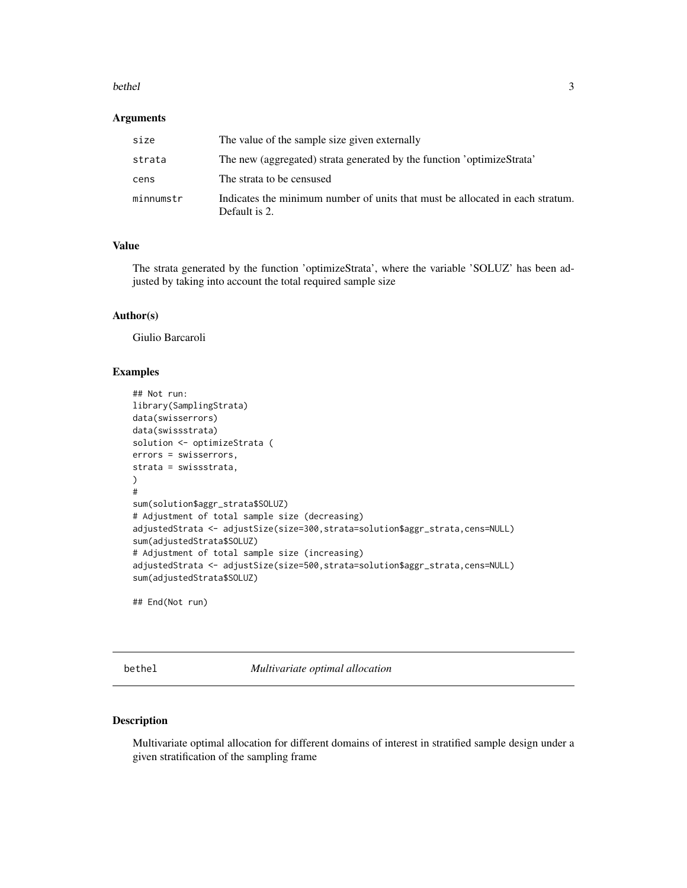#### <span id="page-2-0"></span>bethel 3

#### Arguments

| size      | The value of the sample size given externally                                                  |
|-----------|------------------------------------------------------------------------------------------------|
| strata    | The new (aggregated) strata generated by the function 'optimizeStrata'                         |
| cens      | The strata to be censused                                                                      |
| minnumstr | Indicates the minimum number of units that must be allocated in each stratum.<br>Default is 2. |

#### Value

The strata generated by the function 'optimizeStrata', where the variable 'SOLUZ' has been adjusted by taking into account the total required sample size

#### Author(s)

Giulio Barcaroli

#### Examples

```
## Not run:
library(SamplingStrata)
data(swisserrors)
data(swissstrata)
solution <- optimizeStrata (
errors = swisserrors,
strata = swissstrata,
)
#
sum(solution$aggr_strata$SOLUZ)
# Adjustment of total sample size (decreasing)
adjustedStrata <- adjustSize(size=300,strata=solution$aggr_strata,cens=NULL)
sum(adjustedStrata$SOLUZ)
# Adjustment of total sample size (increasing)
adjustedStrata <- adjustSize(size=500,strata=solution$aggr_strata,cens=NULL)
sum(adjustedStrata$SOLUZ)
```
## End(Not run)

bethel *Multivariate optimal allocation*

#### Description

Multivariate optimal allocation for different domains of interest in stratified sample design under a given stratification of the sampling frame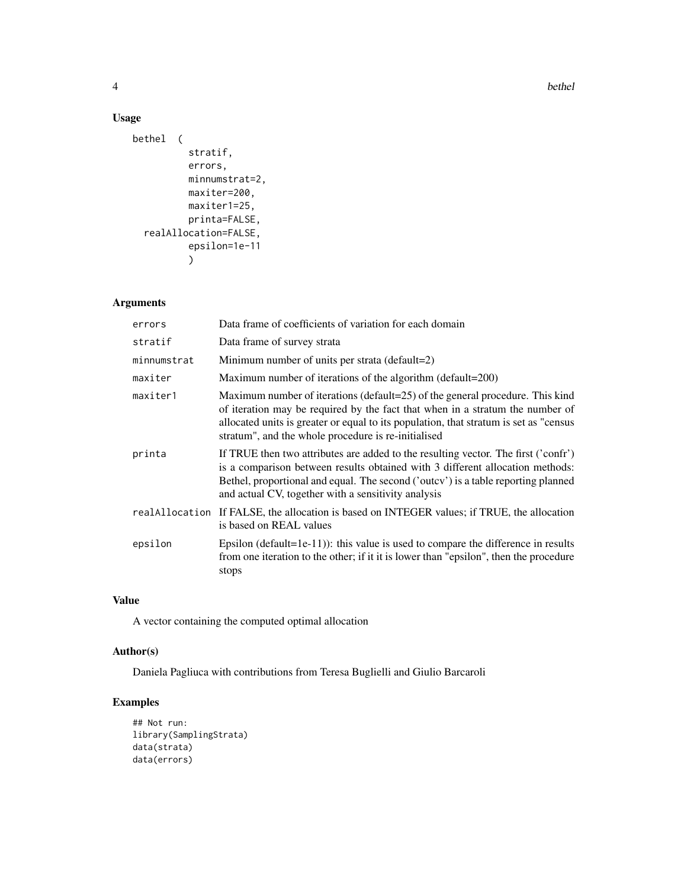4 bethel

#### Usage

```
bethel (
          stratif,
          errors,
          minnumstrat=2,
          maxiter=200,
          maxiter1=25,
          printa=FALSE,
  realAllocation=FALSE,
          epsilon=1e-11
          )
```
### Arguments

| errors      | Data frame of coefficients of variation for each domain                                                                                                                                                                                                                                                         |
|-------------|-----------------------------------------------------------------------------------------------------------------------------------------------------------------------------------------------------------------------------------------------------------------------------------------------------------------|
| stratif     | Data frame of survey strata                                                                                                                                                                                                                                                                                     |
| minnumstrat | Minimum number of units per strata (default=2)                                                                                                                                                                                                                                                                  |
| maxiter     | Maximum number of iterations of the algorithm (default=200)                                                                                                                                                                                                                                                     |
| maxiter1    | Maximum number of iterations (default=25) of the general procedure. This kind<br>of iteration may be required by the fact that when in a stratum the number of<br>allocated units is greater or equal to its population, that stratum is set as "census<br>stratum", and the whole procedure is re-initialised  |
| printa      | If TRUE then two attributes are added to the resulting vector. The first ('confr')<br>is a comparison between results obtained with 3 different allocation methods:<br>Bethel, proportional and equal. The second ('outcy') is a table reporting planned<br>and actual CV, together with a sensitivity analysis |
|             | real Allocation If FALSE, the allocation is based on INTEGER values; if TRUE, the allocation<br>is based on REAL values                                                                                                                                                                                         |
| epsilon     | Epsilon (default=1e-11)): this value is used to compare the difference in results<br>from one iteration to the other; if it it is lower than "epsilon", then the procedure<br>stops                                                                                                                             |

#### Value

A vector containing the computed optimal allocation

#### Author(s)

Daniela Pagliuca with contributions from Teresa Buglielli and Giulio Barcaroli

### Examples

```
## Not run:
library(SamplingStrata)
data(strata)
data(errors)
```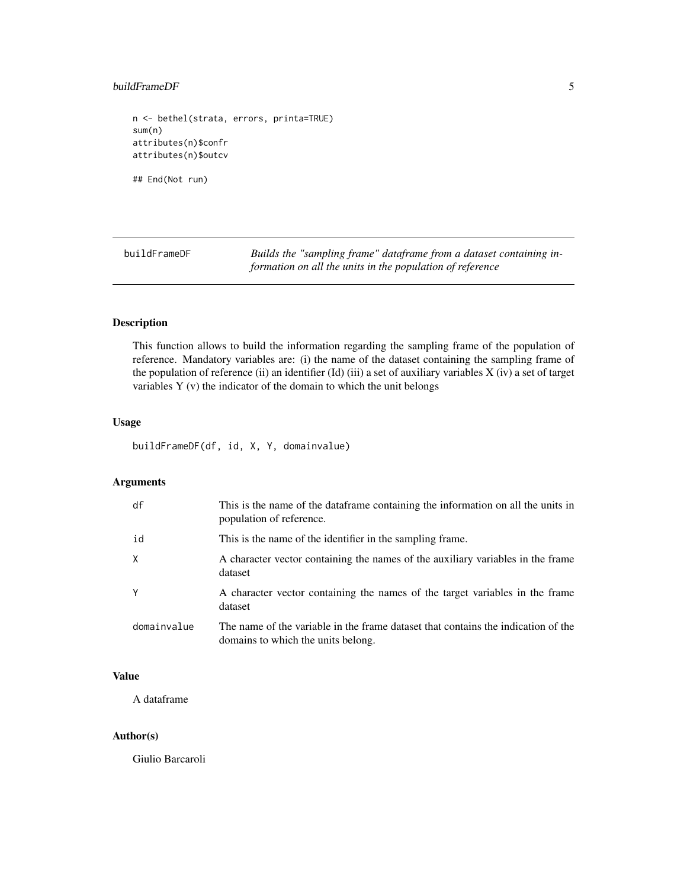#### <span id="page-4-0"></span>buildFrameDF 5

n <- bethel(strata, errors, printa=TRUE) sum(n) attributes(n)\$confr attributes(n)\$outcv

## End(Not run)

buildFrameDF *Builds the "sampling frame" dataframe from a dataset containing information on all the units in the population of reference*

#### Description

This function allows to build the information regarding the sampling frame of the population of reference. Mandatory variables are: (i) the name of the dataset containing the sampling frame of the population of reference (ii) an identifier (Id) (iii) a set of auxiliary variables X (iv) a set of target variables Y (v) the indicator of the domain to which the unit belongs

#### Usage

buildFrameDF(df, id, X, Y, domainvalue)

#### Arguments

| df          | This is the name of the dataframe containing the information on all the units in<br>population of reference.            |
|-------------|-------------------------------------------------------------------------------------------------------------------------|
| id          | This is the name of the identifier in the sampling frame.                                                               |
| X           | A character vector containing the names of the auxiliary variables in the frame<br>dataset                              |
| Y           | A character vector containing the names of the target variables in the frame<br>dataset                                 |
| domainvalue | The name of the variable in the frame dataset that contains the indication of the<br>domains to which the units belong. |

#### Value

A dataframe

#### Author(s)

Giulio Barcaroli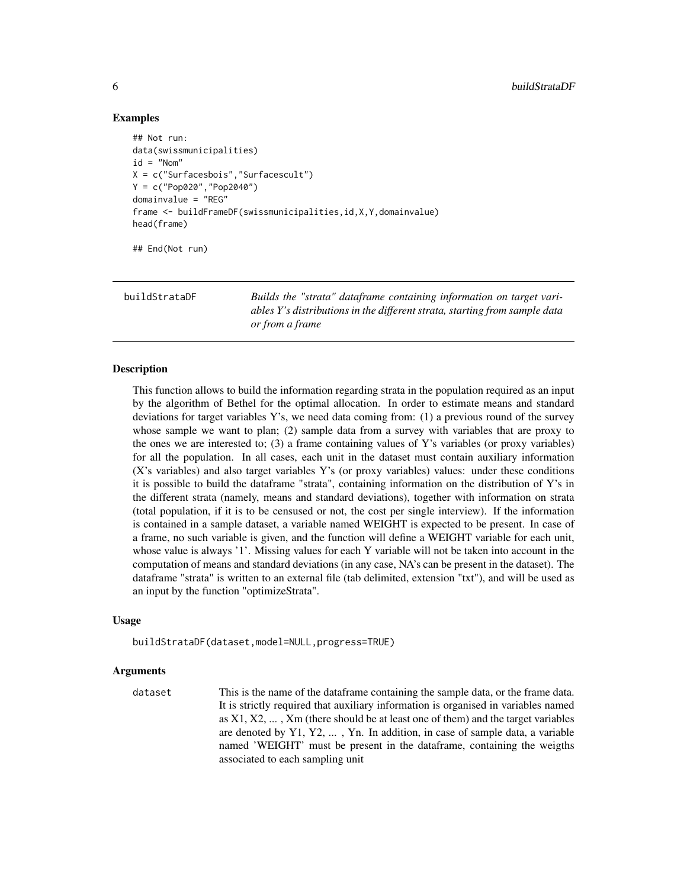#### Examples

```
## Not run:
data(swissmunicipalities)
id = "Nom"
X = c("Surfacesbois","Surfacescult")
Y = c("Pop020","Pop2040")
domainvalue = "REG"
frame <- buildFrameDF(swissmunicipalities,id,X,Y,domainvalue)
head(frame)
```
## End(Not run)

buildStrataDF *Builds the "strata" dataframe containing information on target variables Y's distributions in the different strata, starting from sample data or from a frame*

#### Description

This function allows to build the information regarding strata in the population required as an input by the algorithm of Bethel for the optimal allocation. In order to estimate means and standard deviations for target variables Y's, we need data coming from: (1) a previous round of the survey whose sample we want to plan; (2) sample data from a survey with variables that are proxy to the ones we are interested to; (3) a frame containing values of Y's variables (or proxy variables) for all the population. In all cases, each unit in the dataset must contain auxiliary information (X's variables) and also target variables Y's (or proxy variables) values: under these conditions it is possible to build the dataframe "strata", containing information on the distribution of Y's in the different strata (namely, means and standard deviations), together with information on strata (total population, if it is to be censused or not, the cost per single interview). If the information is contained in a sample dataset, a variable named WEIGHT is expected to be present. In case of a frame, no such variable is given, and the function will define a WEIGHT variable for each unit, whose value is always '1'. Missing values for each Y variable will not be taken into account in the computation of means and standard deviations (in any case, NA's can be present in the dataset). The dataframe "strata" is written to an external file (tab delimited, extension "txt"), and will be used as an input by the function "optimizeStrata".

#### Usage

buildStrataDF(dataset,model=NULL,progress=TRUE)

#### Arguments

dataset This is the name of the dataframe containing the sample data, or the frame data. It is strictly required that auxiliary information is organised in variables named as  $X1, X2, \ldots, Xm$  (there should be at least one of them) and the target variables are denoted by Y1, Y2, ... , Yn. In addition, in case of sample data, a variable named 'WEIGHT' must be present in the dataframe, containing the weigths associated to each sampling unit

<span id="page-5-0"></span>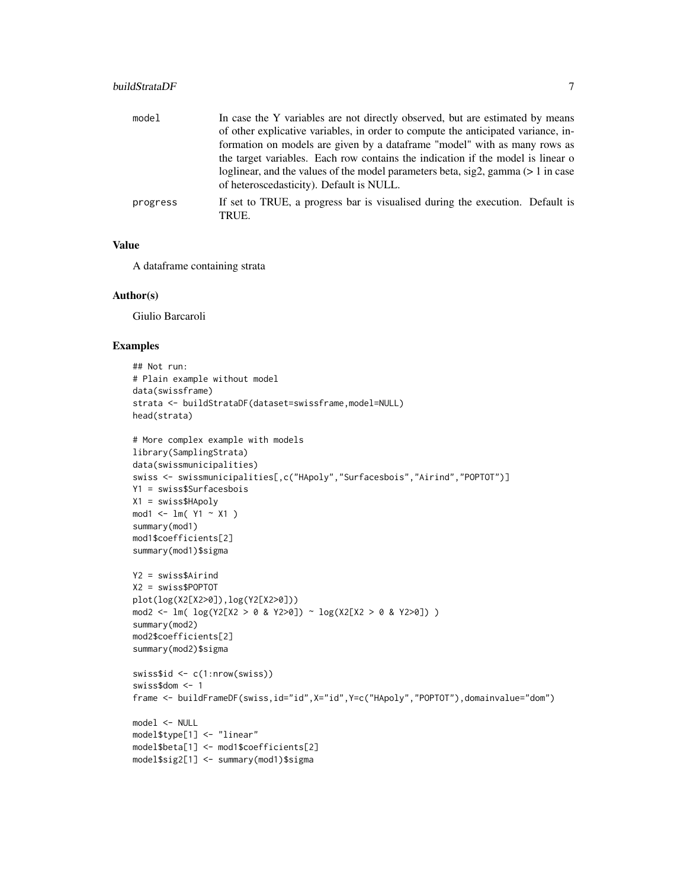#### buildStrataDF 7

| model    | In case the Y variables are not directly observed, but are estimated by means                                                      |
|----------|------------------------------------------------------------------------------------------------------------------------------------|
|          | of other explicative variables, in order to compute the anticipated variance, in-                                                  |
|          | formation on models are given by a dataframe "model" with as many rows as                                                          |
|          | the target variables. Each row contains the indication if the model is linear of                                                   |
|          | loglinear, and the values of the model parameters beta, $sig2$ , gamma ( $> 1$ in case<br>of heteroscedasticity). Default is NULL. |
| progress | If set to TRUE, a progress bar is visualised during the execution. Default is<br>TRUE.                                             |

#### Value

A dataframe containing strata

#### Author(s)

Giulio Barcaroli

#### Examples

```
## Not run:
# Plain example without model
data(swissframe)
strata <- buildStrataDF(dataset=swissframe,model=NULL)
head(strata)
# More complex example with models
library(SamplingStrata)
data(swissmunicipalities)
swiss <- swissmunicipalities[,c("HApoly","Surfacesbois","Airind","POPTOT")]
Y1 = swiss$Surfacesbois
X1 = swiss$HApoly
mod1 <- lm( Y1 ~ X1 )summary(mod1)
mod1$coefficients[2]
summary(mod1)$sigma
Y2 = swiss$Airind
X2 = swiss$POPTOT
plot(log(X2[X2>0]),log(Y2[X2>0]))
mod2 <- lm( log(Y2[X2 > 0 & Y2>0]) ~ log(X2[X2 > 0 & Y2>0]) )
summary(mod2)
mod2$coefficients[2]
summary(mod2)$sigma
swiss$id <- c(1:nrow(swiss))
swiss$dom <- 1
frame <- buildFrameDF(swiss,id="id",X="id",Y=c("HApoly","POPTOT"),domainvalue="dom")
model <- NULL
model$type[1] <- "linear"
model$beta[1] <- mod1$coefficients[2]
model$sig2[1] <- summary(mod1)$sigma
```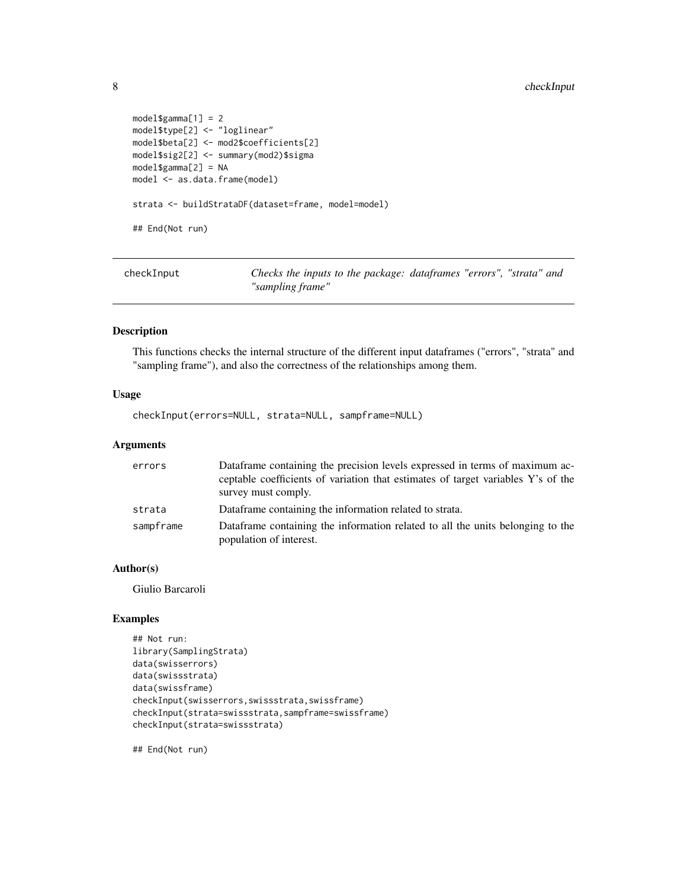```
model$gamma[1] = 2
model$type[2] <- "loglinear"
model$beta[2] <- mod2$coefficients[2]
model$sig2[2] <- summary(mod2)$sigma
model$gamma[2] = NA
model <- as.data.frame(model)
strata <- buildStrataDF(dataset=frame, model=model)
## End(Not run)
```
checkInput *Checks the inputs to the package: dataframes "errors", "strata" and "sampling frame"*

#### Description

This functions checks the internal structure of the different input dataframes ("errors", "strata" and "sampling frame"), and also the correctness of the relationships among them.

#### Usage

checkInput(errors=NULL, strata=NULL, sampframe=NULL)

#### Arguments

| errors    | Dataframe containing the precision levels expressed in terms of maximum ac-      |
|-----------|----------------------------------------------------------------------------------|
|           | ceptable coefficients of variation that estimates of target variables Y's of the |
|           | survey must comply.                                                              |
| strata    | Dataframe containing the information related to strata.                          |
| sampframe | Dataframe containing the information related to all the units belonging to the   |
|           | population of interest.                                                          |

#### Author(s)

Giulio Barcaroli

#### Examples

```
## Not run:
library(SamplingStrata)
data(swisserrors)
data(swissstrata)
data(swissframe)
checkInput(swisserrors,swissstrata,swissframe)
checkInput(strata=swissstrata,sampframe=swissframe)
checkInput(strata=swissstrata)
```
## End(Not run)

<span id="page-7-0"></span>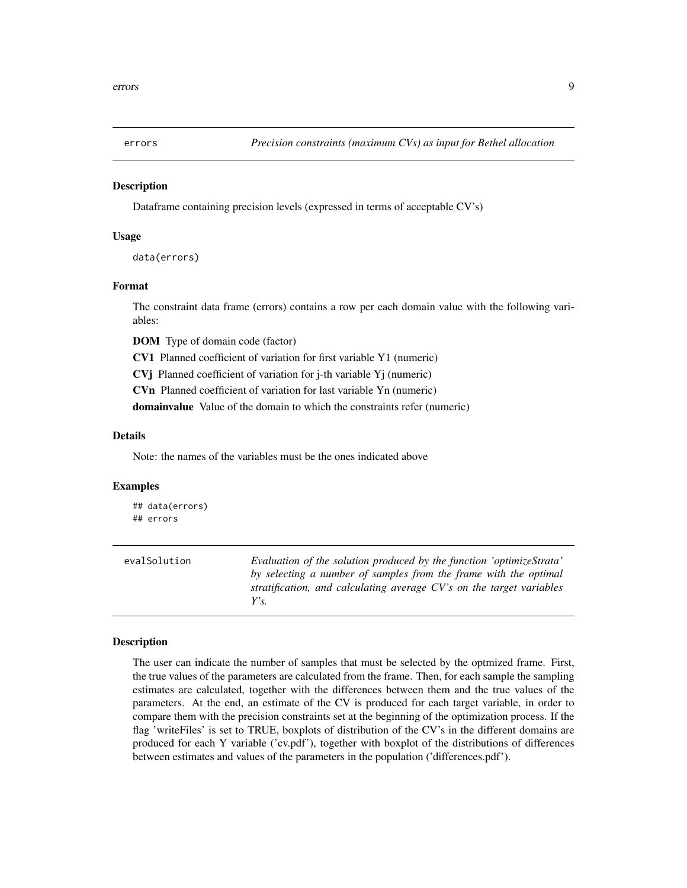<span id="page-8-0"></span>

#### Description

Dataframe containing precision levels (expressed in terms of acceptable CV's)

#### Usage

data(errors)

#### Format

The constraint data frame (errors) contains a row per each domain value with the following variables:

DOM Type of domain code (factor)

CV1 Planned coefficient of variation for first variable Y1 (numeric)

CVj Planned coefficient of variation for j-th variable Yj (numeric)

CVn Planned coefficient of variation for last variable Yn (numeric)

domainvalue Value of the domain to which the constraints refer (numeric)

#### Details

Note: the names of the variables must be the ones indicated above

#### Examples

## data(errors) ## errors

| evalSolution | Evaluation of the solution produced by the function 'optimizeStrata' |
|--------------|----------------------------------------------------------------------|
|              | by selecting a number of samples from the frame with the optimal     |
|              | stratification, and calculating average CV's on the target variables |
|              | $Y$ s.                                                               |

#### Description

The user can indicate the number of samples that must be selected by the optmized frame. First, the true values of the parameters are calculated from the frame. Then, for each sample the sampling estimates are calculated, together with the differences between them and the true values of the parameters. At the end, an estimate of the CV is produced for each target variable, in order to compare them with the precision constraints set at the beginning of the optimization process. If the flag 'writeFiles' is set to TRUE, boxplots of distribution of the CV's in the different domains are produced for each Y variable ('cv.pdf'), together with boxplot of the distributions of differences between estimates and values of the parameters in the population ('differences.pdf').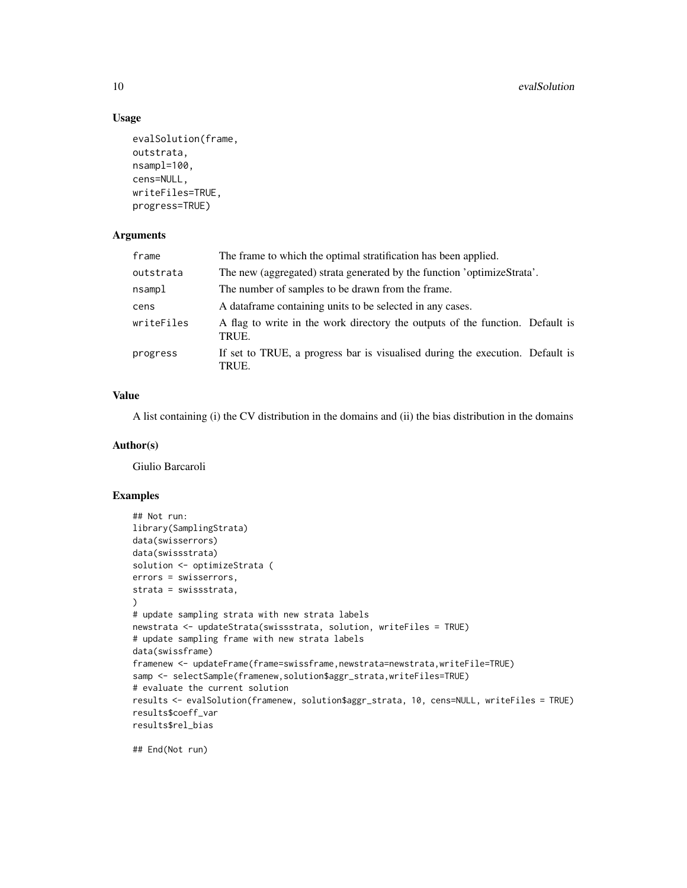#### Usage

```
evalSolution(frame,
outstrata,
nsampl=100,
cens=NULL,
writeFiles=TRUE,
progress=TRUE)
```
#### Arguments

| frame      | The frame to which the optimal stratification has been applied.                        |  |  |  |
|------------|----------------------------------------------------------------------------------------|--|--|--|
| outstrata  | The new (aggregated) strata generated by the function 'optimizeStrata'.                |  |  |  |
| nsampl     | The number of samples to be drawn from the frame.                                      |  |  |  |
| cens       | A data frame containing units to be selected in any cases.                             |  |  |  |
| writeFiles | A flag to write in the work directory the outputs of the function. Default is<br>TRUE. |  |  |  |
| progress   | If set to TRUE, a progress bar is visualised during the execution. Default is<br>TRUE. |  |  |  |

#### Value

A list containing (i) the CV distribution in the domains and (ii) the bias distribution in the domains

#### Author(s)

Giulio Barcaroli

#### Examples

```
## Not run:
library(SamplingStrata)
data(swisserrors)
data(swissstrata)
solution <- optimizeStrata (
errors = swisserrors,
strata = swissstrata,
\lambda# update sampling strata with new strata labels
newstrata <- updateStrata(swissstrata, solution, writeFiles = TRUE)
# update sampling frame with new strata labels
data(swissframe)
framenew <- updateFrame(frame=swissframe,newstrata=newstrata,writeFile=TRUE)
samp <- selectSample(framenew,solution$aggr_strata,writeFiles=TRUE)
# evaluate the current solution
results <- evalSolution(framenew, solution$aggr_strata, 10, cens=NULL, writeFiles = TRUE)
results$coeff_var
results$rel_bias
```
## End(Not run)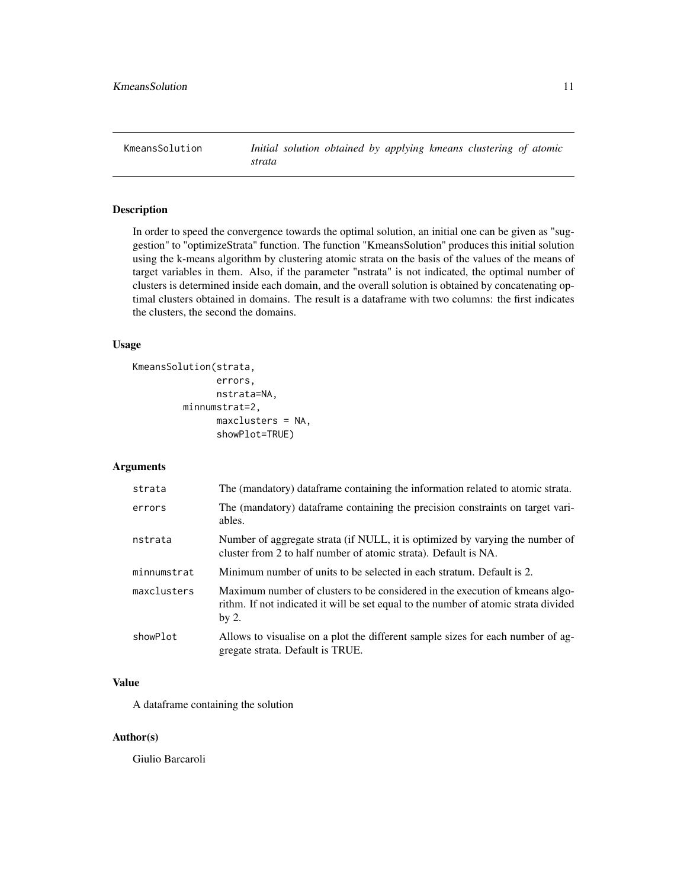<span id="page-10-0"></span>KmeansSolution *Initial solution obtained by applying kmeans clustering of atomic strata*

#### Description

In order to speed the convergence towards the optimal solution, an initial one can be given as "suggestion" to "optimizeStrata" function. The function "KmeansSolution" produces this initial solution using the k-means algorithm by clustering atomic strata on the basis of the values of the means of target variables in them. Also, if the parameter "nstrata" is not indicated, the optimal number of clusters is determined inside each domain, and the overall solution is obtained by concatenating optimal clusters obtained in domains. The result is a dataframe with two columns: the first indicates the clusters, the second the domains.

#### Usage

```
KmeansSolution(strata,
               errors,
               nstrata=NA,
         minnumstrat=2,
               maxclusters = NA,
               showPlot=TRUE)
```
#### Arguments

| strata      | The (mandatory) dataframe containing the information related to atomic strata.                                                                                                 |
|-------------|--------------------------------------------------------------------------------------------------------------------------------------------------------------------------------|
| errors      | The (mandatory) dataframe containing the precision constraints on target vari-<br>ables.                                                                                       |
| nstrata     | Number of aggregate strata (if NULL, it is optimized by varying the number of<br>cluster from 2 to half number of atomic strata). Default is NA.                               |
| minnumstrat | Minimum number of units to be selected in each stratum. Default is 2.                                                                                                          |
| maxclusters | Maximum number of clusters to be considered in the execution of kmeans algo-<br>rithm. If not indicated it will be set equal to the number of atomic strata divided<br>by $2.$ |
| showPlot    | Allows to visualise on a plot the different sample sizes for each number of ag-<br>gregate strata. Default is TRUE.                                                            |

#### Value

A dataframe containing the solution

#### Author(s)

Giulio Barcaroli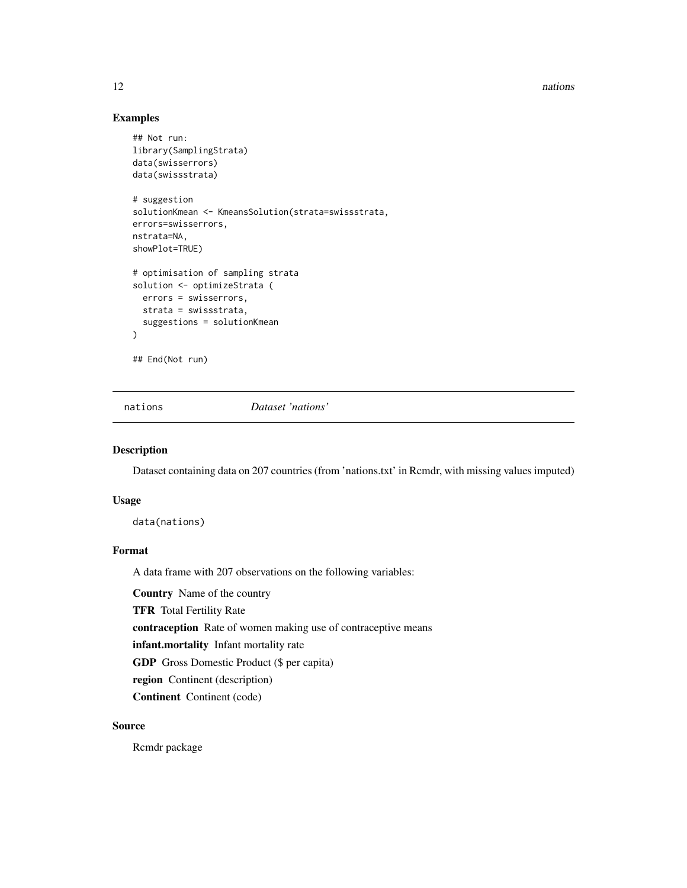12 nations and the contract of the contract of the contract of the contract of the contract of the contract of the contract of the contract of the contract of the contract of the contract of the contract of the contract of

#### Examples

```
## Not run:
library(SamplingStrata)
data(swisserrors)
data(swissstrata)
# suggestion
solutionKmean <- KmeansSolution(strata=swissstrata,
errors=swisserrors,
nstrata=NA,
showPlot=TRUE)
# optimisation of sampling strata
solution <- optimizeStrata (
 errors = swisserrors,
 strata = swissstrata,
  suggestions = solutionKmean
\lambda## End(Not run)
```
nations *Dataset 'nations'*

#### Description

Dataset containing data on 207 countries (from 'nations.txt' in Rcmdr, with missing values imputed)

#### Usage

data(nations)

#### Format

A data frame with 207 observations on the following variables:

Country Name of the country

TFR Total Fertility Rate

contraception Rate of women making use of contraceptive means

infant.mortality Infant mortality rate

GDP Gross Domestic Product (\$ per capita)

region Continent (description)

Continent Continent (code)

#### Source

Rcmdr package

<span id="page-11-0"></span>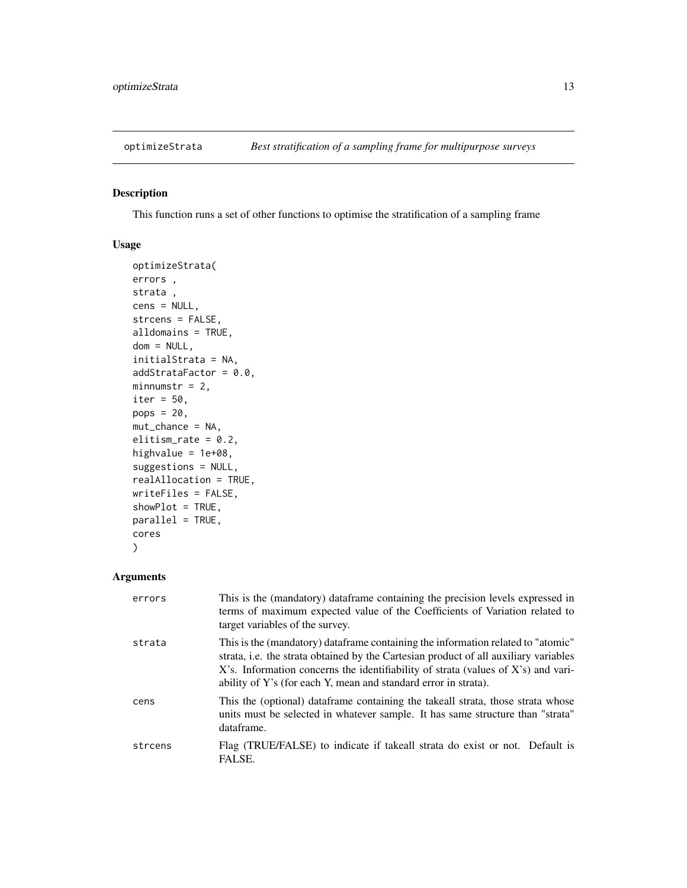<span id="page-12-0"></span>

#### Description

This function runs a set of other functions to optimise the stratification of a sampling frame

#### Usage

```
optimizeStrata(
errors ,
strata ,
cens = NULL,
strcens = FALSE,
alldomains = TRUE,
dom = NULL,initialStrata = NA,
addStrataFactor = 0.0,
minnumstr = 2,
iter = 50,
pops = 20,mut_chance = NA,
elitism_rate = 0.2,
highvalue = 1e+08,
suggestions = NULL,
realAllocation = TRUE,
writeFiles = FALSE,
showPlot = TRUE,
parallel = TRUE,
cores
\mathcal{L}
```
#### Arguments

| errors  | This is the (mandatory) dataframe containing the precision levels expressed in<br>terms of maximum expected value of the Coefficients of Variation related to<br>target variables of the survey.                                                                                                                                  |
|---------|-----------------------------------------------------------------------------------------------------------------------------------------------------------------------------------------------------------------------------------------------------------------------------------------------------------------------------------|
| strata  | This is the (mandatory) data frame containing the information related to "atomic"<br>strata, i.e. the strata obtained by the Cartesian product of all auxiliary variables<br>X's. Information concerns the identifiability of strata (values of X's) and vari-<br>ability of Y's (for each Y, mean and standard error in strata). |
| cens    | This the (optional) dataframe containing the takeall strata, those strata whose<br>units must be selected in whatever sample. It has same structure than "strata"<br>dataframe.                                                                                                                                                   |
| strcens | Flag (TRUE/FALSE) to indicate if takeall strata do exist or not. Default is<br>FALSE.                                                                                                                                                                                                                                             |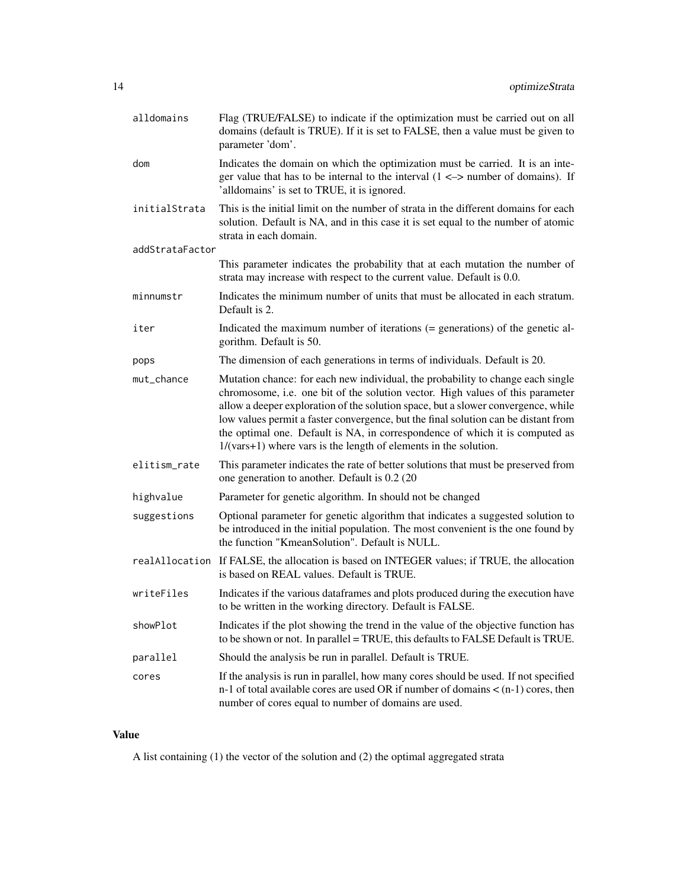| alldomains      | Flag (TRUE/FALSE) to indicate if the optimization must be carried out on all<br>domains (default is TRUE). If it is set to FALSE, then a value must be given to<br>parameter 'dom'.                                                                                                                                                                                                                                                                                                                |  |  |  |  |
|-----------------|----------------------------------------------------------------------------------------------------------------------------------------------------------------------------------------------------------------------------------------------------------------------------------------------------------------------------------------------------------------------------------------------------------------------------------------------------------------------------------------------------|--|--|--|--|
| dom             | Indicates the domain on which the optimization must be carried. It is an inte-<br>ger value that has to be internal to the interval $(1 \le$ > number of domains). If<br>'alldomains' is set to TRUE, it is ignored.                                                                                                                                                                                                                                                                               |  |  |  |  |
| initialStrata   | This is the initial limit on the number of strata in the different domains for each<br>solution. Default is NA, and in this case it is set equal to the number of atomic<br>strata in each domain.                                                                                                                                                                                                                                                                                                 |  |  |  |  |
| addStrataFactor |                                                                                                                                                                                                                                                                                                                                                                                                                                                                                                    |  |  |  |  |
|                 | This parameter indicates the probability that at each mutation the number of<br>strata may increase with respect to the current value. Default is 0.0.                                                                                                                                                                                                                                                                                                                                             |  |  |  |  |
| minnumstr       | Indicates the minimum number of units that must be allocated in each stratum.<br>Default is 2.                                                                                                                                                                                                                                                                                                                                                                                                     |  |  |  |  |
| iter            | Indicated the maximum number of iterations (= generations) of the genetic al-<br>gorithm. Default is 50.                                                                                                                                                                                                                                                                                                                                                                                           |  |  |  |  |
| pops            | The dimension of each generations in terms of individuals. Default is 20.                                                                                                                                                                                                                                                                                                                                                                                                                          |  |  |  |  |
| mut_chance      | Mutation chance: for each new individual, the probability to change each single<br>chromosome, i.e. one bit of the solution vector. High values of this parameter<br>allow a deeper exploration of the solution space, but a slower convergence, while<br>low values permit a faster convergence, but the final solution can be distant from<br>the optimal one. Default is NA, in correspondence of which it is computed as<br>$1/(vars+1)$ where vars is the length of elements in the solution. |  |  |  |  |
| elitism_rate    | This parameter indicates the rate of better solutions that must be preserved from<br>one generation to another. Default is 0.2 (20)                                                                                                                                                                                                                                                                                                                                                                |  |  |  |  |
| highvalue       | Parameter for genetic algorithm. In should not be changed                                                                                                                                                                                                                                                                                                                                                                                                                                          |  |  |  |  |
| suggestions     | Optional parameter for genetic algorithm that indicates a suggested solution to<br>be introduced in the initial population. The most convenient is the one found by<br>the function "KmeanSolution". Default is NULL.                                                                                                                                                                                                                                                                              |  |  |  |  |
|                 | realAllocation If FALSE, the allocation is based on INTEGER values; if TRUE, the allocation<br>is based on REAL values. Default is TRUE.                                                                                                                                                                                                                                                                                                                                                           |  |  |  |  |
| writeFiles      | Indicates if the various dataframes and plots produced during the execution have<br>to be written in the working directory. Default is FALSE.                                                                                                                                                                                                                                                                                                                                                      |  |  |  |  |
| showPlot        | Indicates if the plot showing the trend in the value of the objective function has<br>to be shown or not. In parallel = TRUE, this defaults to FALSE Default is TRUE.                                                                                                                                                                                                                                                                                                                              |  |  |  |  |
| parallel        | Should the analysis be run in parallel. Default is TRUE.                                                                                                                                                                                                                                                                                                                                                                                                                                           |  |  |  |  |
| cores           | If the analysis is run in parallel, how many cores should be used. If not specified<br>n-1 of total available cores are used OR if number of domains $\lt$ (n-1) cores, then<br>number of cores equal to number of domains are used.                                                                                                                                                                                                                                                               |  |  |  |  |

## Value

A list containing (1) the vector of the solution and (2) the optimal aggregated strata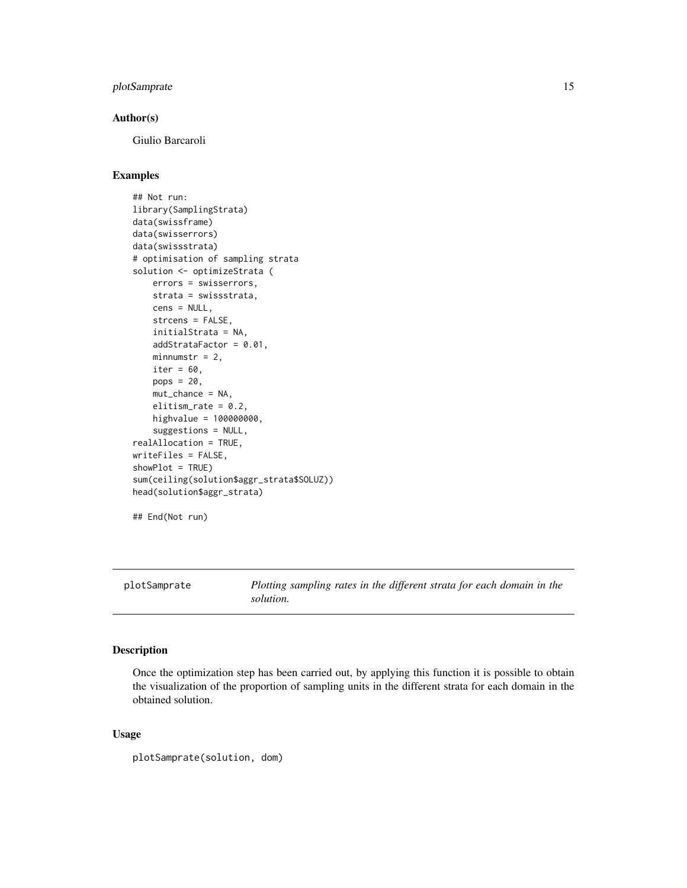#### <span id="page-14-0"></span>plotSamprate 15

#### Author(s)

Giulio Barcaroli

#### Examples

```
## Not run:
library(SamplingStrata)
data(swissframe)
data(swisserrors)
data(swissstrata)
# optimisation of sampling strata
solution <- optimizeStrata (
   errors = swisserrors,
   strata = swissstrata,
   cens = NULL,
   strcens = FALSE,
   initialStrata = NA,
   addStrataFactor = 0.01,
   minnumstr = 2,
   iter = 60,
   pops = 20,
   mut_chance = NA,
    elitism_rate = 0.2,
   highvalue = 100000000,
    suggestions = NULL,
realAllocation = TRUE,
writeFiles = FALSE,
showPlot = TRUE)
sum(ceiling(solution$aggr_strata$SOLUZ))
head(solution$aggr_strata)
## End(Not run)
```
plotSamprate *Plotting sampling rates in the different strata for each domain in the solution.*

#### Description

Once the optimization step has been carried out, by applying this function it is possible to obtain the visualization of the proportion of sampling units in the different strata for each domain in the obtained solution.

#### Usage

plotSamprate(solution, dom)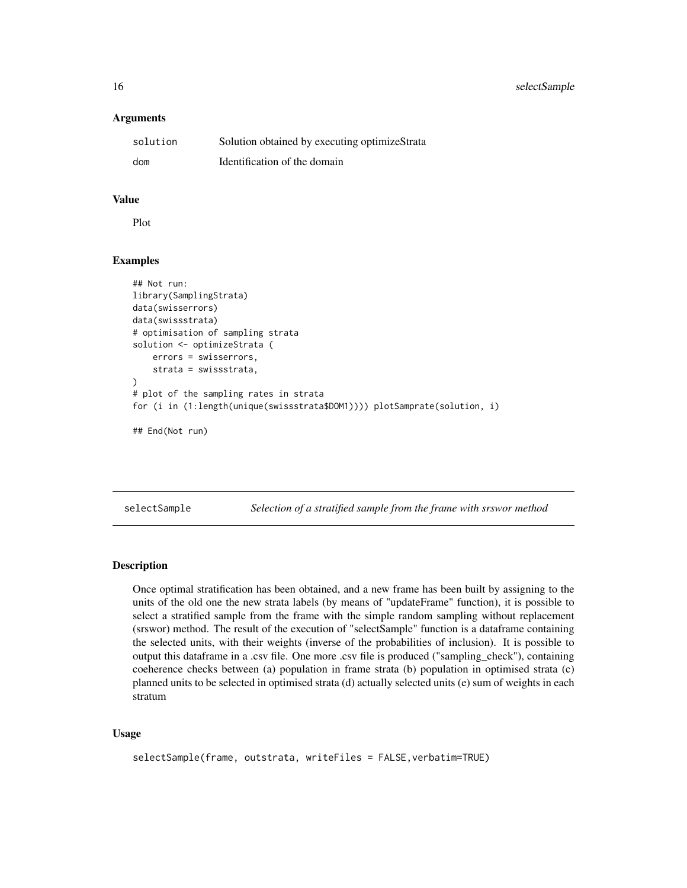<span id="page-15-0"></span>16 selectSample

#### Arguments

| solution | Solution obtained by executing optimizeStrata |
|----------|-----------------------------------------------|
| dom      | Identification of the domain                  |

#### Value

Plot

#### Examples

```
## Not run:
library(SamplingStrata)
data(swisserrors)
data(swissstrata)
# optimisation of sampling strata
solution <- optimizeStrata (
   errors = swisserrors,
    strata = swissstrata,
\mathcal{L}# plot of the sampling rates in strata
for (i in (1:length(unique(swissstrata$DOM1)))) plotSamprate(solution, i)
```
## End(Not run)

selectSample *Selection of a stratified sample from the frame with srswor method*

#### Description

Once optimal stratification has been obtained, and a new frame has been built by assigning to the units of the old one the new strata labels (by means of "updateFrame" function), it is possible to select a stratified sample from the frame with the simple random sampling without replacement (srswor) method. The result of the execution of "selectSample" function is a dataframe containing the selected units, with their weights (inverse of the probabilities of inclusion). It is possible to output this dataframe in a .csv file. One more .csv file is produced ("sampling\_check"), containing coeherence checks between (a) population in frame strata (b) population in optimised strata (c) planned units to be selected in optimised strata (d) actually selected units (e) sum of weights in each stratum

#### Usage

```
selectSample(frame, outstrata, writeFiles = FALSE,verbatim=TRUE)
```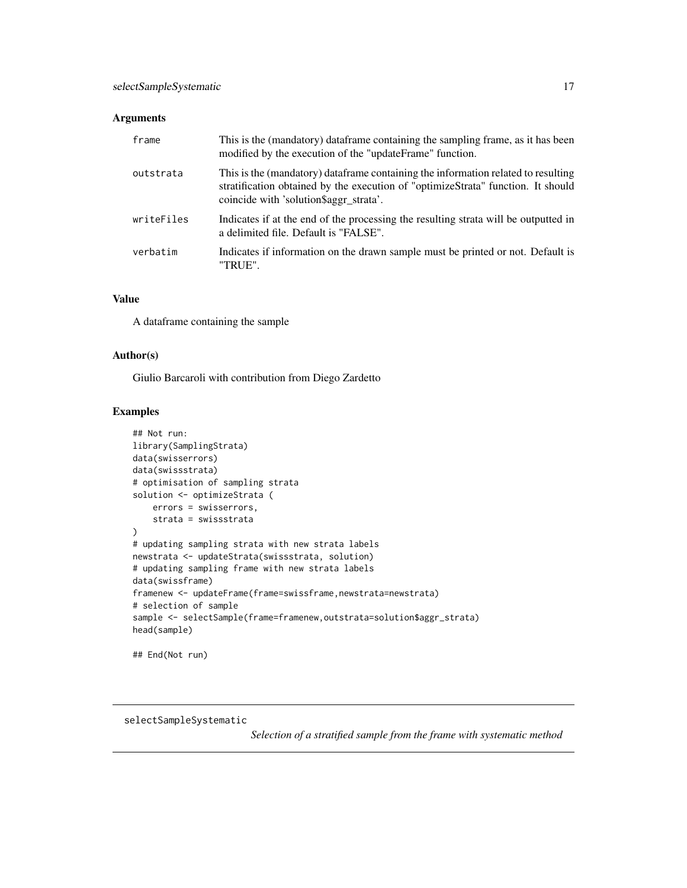#### <span id="page-16-0"></span>Arguments

| frame      | This is the (mandatory) dataframe containing the sampling frame, as it has been<br>modified by the execution of the "updateFrame" function.                                                                      |
|------------|------------------------------------------------------------------------------------------------------------------------------------------------------------------------------------------------------------------|
| outstrata  | This is the (mandatory) data frame containing the information related to resulting<br>stratification obtained by the execution of "optimizeStrata" function. It should<br>coincide with 'solution\$aggr_strata'. |
| writeFiles | Indicates if at the end of the processing the resulting strata will be outputted in<br>a delimited file. Default is "FALSE".                                                                                     |
| verbatim   | Indicates if information on the drawn sample must be printed or not. Default is<br>"TRUE".                                                                                                                       |

#### Value

A dataframe containing the sample

#### Author(s)

Giulio Barcaroli with contribution from Diego Zardetto

#### Examples

```
## Not run:
library(SamplingStrata)
data(swisserrors)
data(swissstrata)
# optimisation of sampling strata
solution <- optimizeStrata (
   errors = swisserrors,
   strata = swissstrata
\mathcal{L}# updating sampling strata with new strata labels
newstrata <- updateStrata(swissstrata, solution)
# updating sampling frame with new strata labels
data(swissframe)
framenew <- updateFrame(frame=swissframe,newstrata=newstrata)
# selection of sample
sample <- selectSample(frame=framenew,outstrata=solution$aggr_strata)
head(sample)
```
## End(Not run)

selectSampleSystematic

*Selection of a stratified sample from the frame with systematic method*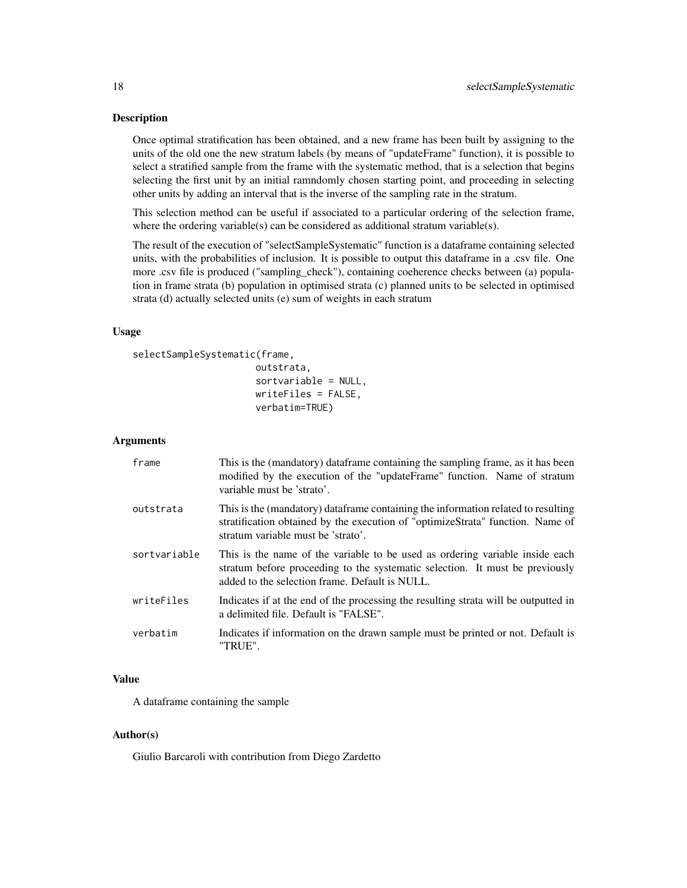#### Description

Once optimal stratification has been obtained, and a new frame has been built by assigning to the units of the old one the new stratum labels (by means of "updateFrame" function), it is possible to select a stratified sample from the frame with the systematic method, that is a selection that begins selecting the first unit by an initial ramndomly chosen starting point, and proceeding in selecting other units by adding an interval that is the inverse of the sampling rate in the stratum.

This selection method can be useful if associated to a particular ordering of the selection frame, where the ordering variable(s) can be considered as additional stratum variable(s).

The result of the execution of "selectSampleSystematic" function is a dataframe containing selected units, with the probabilities of inclusion. It is possible to output this dataframe in a .csv file. One more .csv file is produced ("sampling\_check"), containing coeherence checks between (a) population in frame strata (b) population in optimised strata (c) planned units to be selected in optimised strata (d) actually selected units (e) sum of weights in each stratum

#### Usage

```
selectSampleSystematic(frame,
```

```
outstrata,
sortvariable = NULL,
writeFiles = FALSE,
verbatim=TRUE)
```
#### Arguments

| frame        | This is the (mandatory) dataframe containing the sampling frame, as it has been<br>modified by the execution of the "updateFrame" function. Name of stratum<br>variable must be 'strato'.                      |
|--------------|----------------------------------------------------------------------------------------------------------------------------------------------------------------------------------------------------------------|
| outstrata    | This is the (mandatory) dataframe containing the information related to resulting<br>stratification obtained by the execution of "optimizeStrata" function. Name of<br>stratum variable must be 'strato'.      |
| sortvariable | This is the name of the variable to be used as ordering variable inside each<br>stratum before proceeding to the systematic selection. It must be previously<br>added to the selection frame. Default is NULL. |
| writeFiles   | Indicates if at the end of the processing the resulting strata will be outputted in<br>a delimited file. Default is "FALSE".                                                                                   |
| verbatim     | Indicates if information on the drawn sample must be printed or not. Default is<br>"TRUE".                                                                                                                     |

#### Value

A dataframe containing the sample

#### Author(s)

Giulio Barcaroli with contribution from Diego Zardetto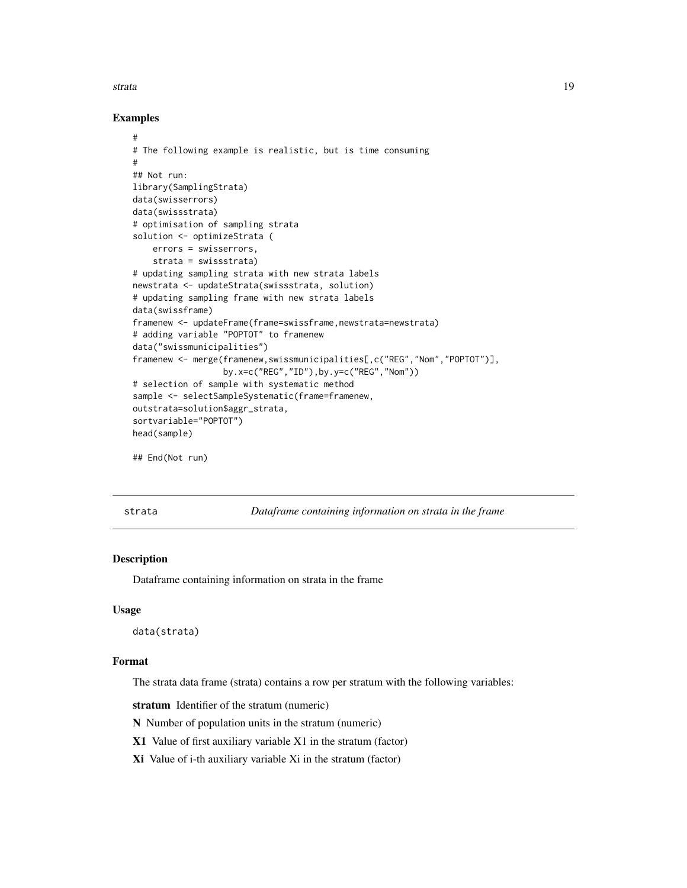<span id="page-18-0"></span>strata and the strate of the strategies of the strategies of the strategies of the strategies of the strategies of the strategies of the strategies of the strategies of the strategies of the strategies of the strategies of

#### Examples

```
#
# The following example is realistic, but is time consuming
#
## Not run:
library(SamplingStrata)
data(swisserrors)
data(swissstrata)
# optimisation of sampling strata
solution <- optimizeStrata (
    errors = swisserrors,
    strata = swissstrata)
# updating sampling strata with new strata labels
newstrata <- updateStrata(swissstrata, solution)
# updating sampling frame with new strata labels
data(swissframe)
framenew <- updateFrame(frame=swissframe,newstrata=newstrata)
# adding variable "POPTOT" to framenew
data("swissmunicipalities")
framenew <- merge(framenew,swissmunicipalities[,c("REG","Nom","POPTOT")],
                  by.x=c("REG","ID"),by.y=c("REG","Nom"))
# selection of sample with systematic method
sample <- selectSampleSystematic(frame=framenew,
outstrata=solution$aggr_strata,
sortvariable="POPTOT")
head(sample)
## End(Not run)
```
strata *Dataframe containing information on strata in the frame*

#### **Description**

Dataframe containing information on strata in the frame

#### Usage

data(strata)

#### Format

The strata data frame (strata) contains a row per stratum with the following variables:

stratum Identifier of the stratum (numeric)

N Number of population units in the stratum (numeric)

X1 Value of first auxiliary variable X1 in the stratum (factor)

Xi Value of i-th auxiliary variable Xi in the stratum (factor)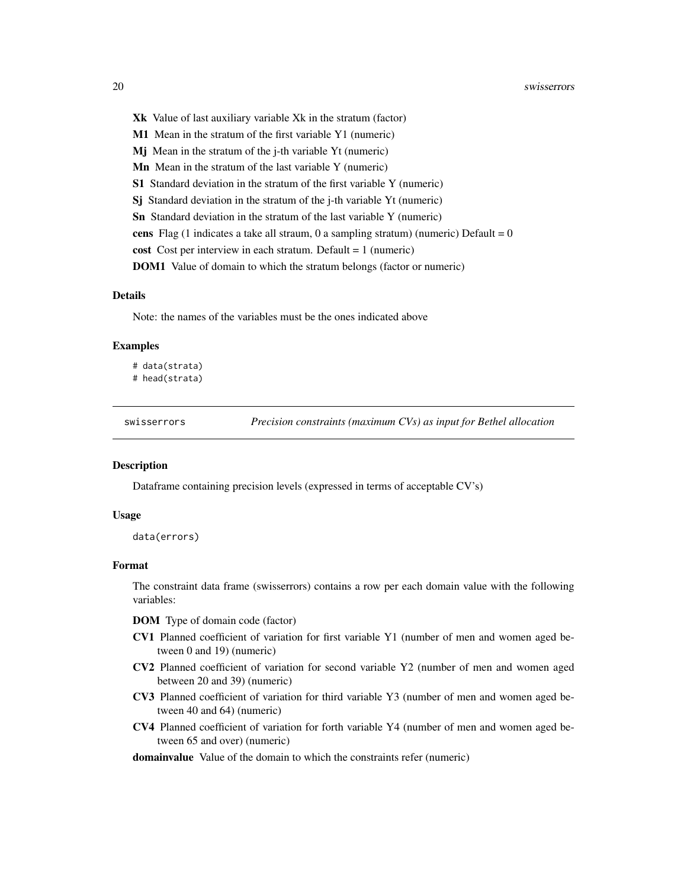- <span id="page-19-0"></span>Xk Value of last auxiliary variable Xk in the stratum (factor)
- M1 Mean in the stratum of the first variable Y1 (numeric)
- Mj Mean in the stratum of the j-th variable Yt (numeric)
- Mn Mean in the stratum of the last variable Y (numeric)
- S1 Standard deviation in the stratum of the first variable Y (numeric)
- Sj Standard deviation in the stratum of the j-th variable Yt (numeric)
- Sn Standard deviation in the stratum of the last variable Y (numeric)
- cens Flag (1 indicates a take all straum, 0 a sampling stratum) (numeric) Default =  $0$
- cost Cost per interview in each stratum. Default = 1 (numeric)
- DOM1 Value of domain to which the stratum belongs (factor or numeric)

#### Details

Note: the names of the variables must be the ones indicated above

#### Examples

```
# data(strata)
# head(strata)
```
swisserrors *Precision constraints (maximum CVs) as input for Bethel allocation*

#### Description

Dataframe containing precision levels (expressed in terms of acceptable CV's)

#### Usage

data(errors)

#### Format

The constraint data frame (swisserrors) contains a row per each domain value with the following variables:

DOM Type of domain code (factor)

- CV1 Planned coefficient of variation for first variable Y1 (number of men and women aged between 0 and 19) (numeric)
- CV2 Planned coefficient of variation for second variable Y2 (number of men and women aged between 20 and 39) (numeric)
- CV3 Planned coefficient of variation for third variable Y3 (number of men and women aged between 40 and 64) (numeric)
- CV4 Planned coefficient of variation for forth variable Y4 (number of men and women aged between 65 and over) (numeric)

#### domainvalue Value of the domain to which the constraints refer (numeric)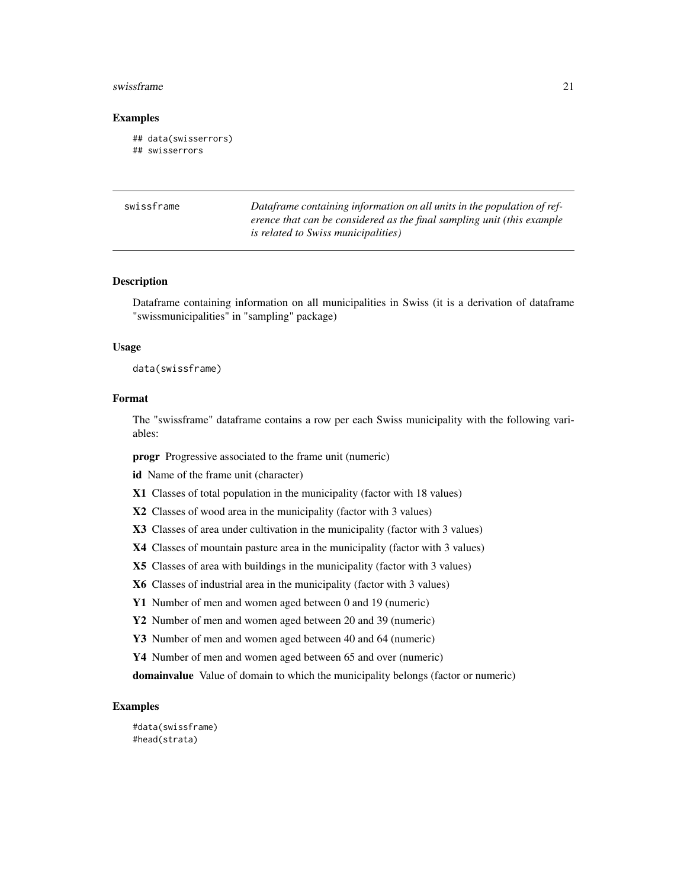#### <span id="page-20-0"></span>swissframe 21

#### Examples

```
## data(swisserrors)
## swisserrors
```

| swissframe | Dataframe containing information on all units in the population of ref- |
|------------|-------------------------------------------------------------------------|
|            | erence that can be considered as the final sampling unit (this example  |
|            | <i>is related to Swiss municipalities</i> )                             |

#### Description

Dataframe containing information on all municipalities in Swiss (it is a derivation of dataframe "swissmunicipalities" in "sampling" package)

#### Usage

data(swissframe)

#### Format

The "swissframe" dataframe contains a row per each Swiss municipality with the following variables:

progr Progressive associated to the frame unit (numeric)

id Name of the frame unit (character)

X1 Classes of total population in the municipality (factor with 18 values)

X2 Classes of wood area in the municipality (factor with 3 values)

X3 Classes of area under cultivation in the municipality (factor with 3 values)

X4 Classes of mountain pasture area in the municipality (factor with 3 values)

X5 Classes of area with buildings in the municipality (factor with 3 values)

X6 Classes of industrial area in the municipality (factor with 3 values)

Y1 Number of men and women aged between 0 and 19 (numeric)

Y2 Number of men and women aged between 20 and 39 (numeric)

Y3 Number of men and women aged between 40 and 64 (numeric)

Y4 Number of men and women aged between 65 and over (numeric)

domainvalue Value of domain to which the municipality belongs (factor or numeric)

#### Examples

#data(swissframe) #head(strata)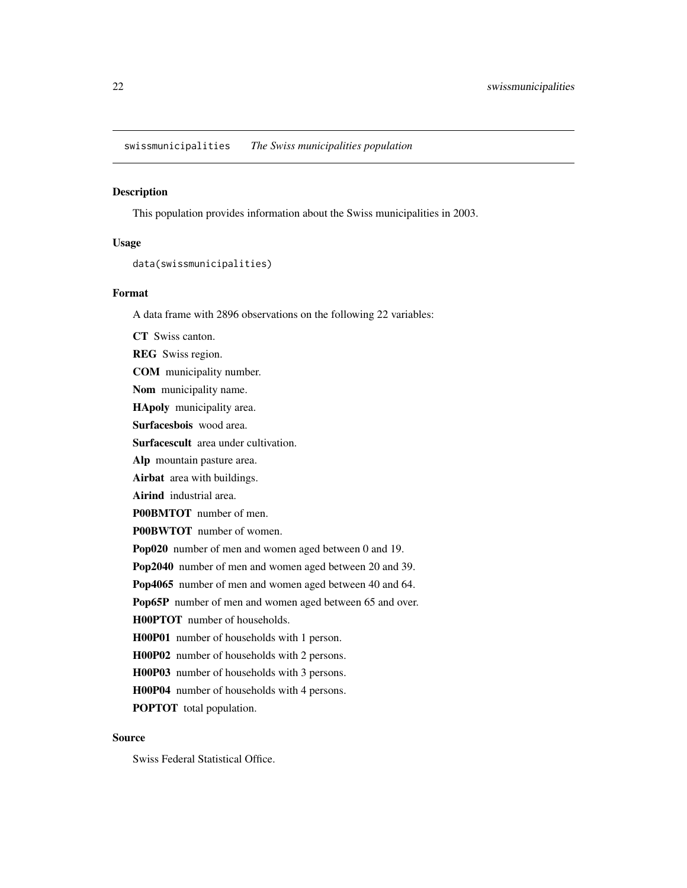<span id="page-21-0"></span>swissmunicipalities *The Swiss municipalities population*

#### Description

This population provides information about the Swiss municipalities in 2003.

#### Usage

data(swissmunicipalities)

#### Format

A data frame with 2896 observations on the following 22 variables:

CT Swiss canton. REG Swiss region. COM municipality number. Nom municipality name. HApoly municipality area. Surfacesbois wood area. Surfacescult area under cultivation. Alp mountain pasture area. Airbat area with buildings. Airind industrial area. P00BMTOT number of men. P00BWTOT number of women. Pop020 number of men and women aged between 0 and 19. Pop2040 number of men and women aged between 20 and 39. Pop4065 number of men and women aged between 40 and 64. Pop65P number of men and women aged between 65 and over. H00PTOT number of households. H00P01 number of households with 1 person. H00P02 number of households with 2 persons. H00P03 number of households with 3 persons. H00P04 number of households with 4 persons. POPTOT total population.

#### Source

Swiss Federal Statistical Office.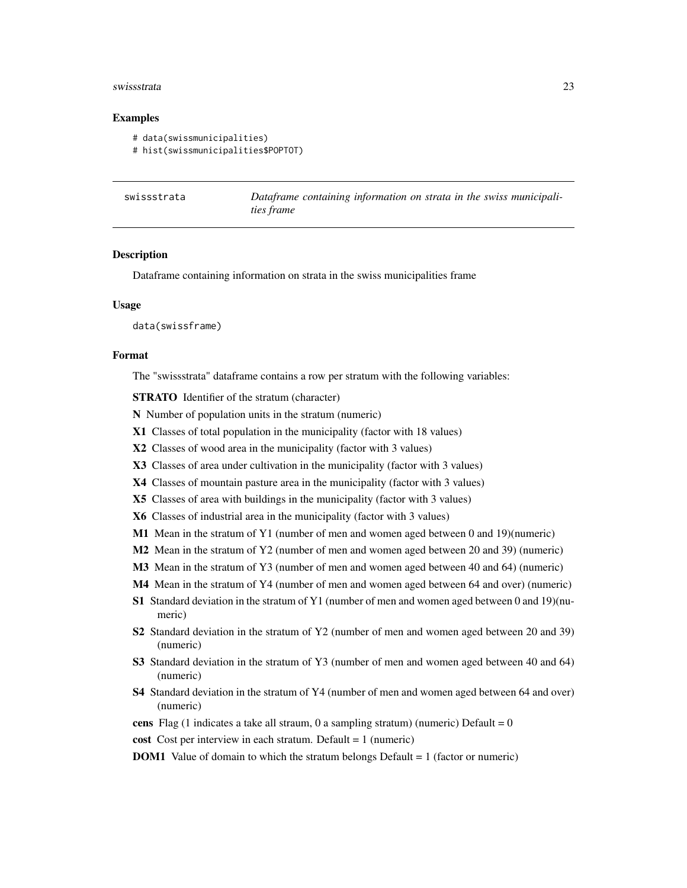#### <span id="page-22-0"></span>swissstrata 23

#### Examples

```
# data(swissmunicipalities)
```

```
# hist(swissmunicipalities$POPTOT)
```

| swissstrata | Dataframe containing information on strata in the swiss municipali- |
|-------------|---------------------------------------------------------------------|
|             | <i>ties frame</i>                                                   |

#### **Description**

Dataframe containing information on strata in the swiss municipalities frame

#### Usage

data(swissframe)

#### Format

The "swissstrata" dataframe contains a row per stratum with the following variables:

STRATO Identifier of the stratum (character)

- N Number of population units in the stratum (numeric)
- X1 Classes of total population in the municipality (factor with 18 values)
- X2 Classes of wood area in the municipality (factor with 3 values)
- X3 Classes of area under cultivation in the municipality (factor with 3 values)
- X4 Classes of mountain pasture area in the municipality (factor with 3 values)
- X5 Classes of area with buildings in the municipality (factor with 3 values)
- X6 Classes of industrial area in the municipality (factor with 3 values)
- M1 Mean in the stratum of Y1 (number of men and women aged between 0 and 19)(numeric)
- M2 Mean in the stratum of Y2 (number of men and women aged between 20 and 39) (numeric)
- M3 Mean in the stratum of Y3 (number of men and women aged between 40 and 64) (numeric)
- M4 Mean in the stratum of Y4 (number of men and women aged between 64 and over) (numeric)
- S1 Standard deviation in the stratum of Y1 (number of men and women aged between 0 and 19)(numeric)
- S2 Standard deviation in the stratum of Y2 (number of men and women aged between 20 and 39) (numeric)
- S3 Standard deviation in the stratum of Y3 (number of men and women aged between 40 and 64) (numeric)
- S4 Standard deviation in the stratum of Y4 (number of men and women aged between 64 and over) (numeric)
- cens Flag (1 indicates a take all straum, 0 a sampling stratum) (numeric) Default =  $0$
- cost Cost per interview in each stratum. Default = 1 (numeric)
- DOM1 Value of domain to which the stratum belongs Default = 1 (factor or numeric)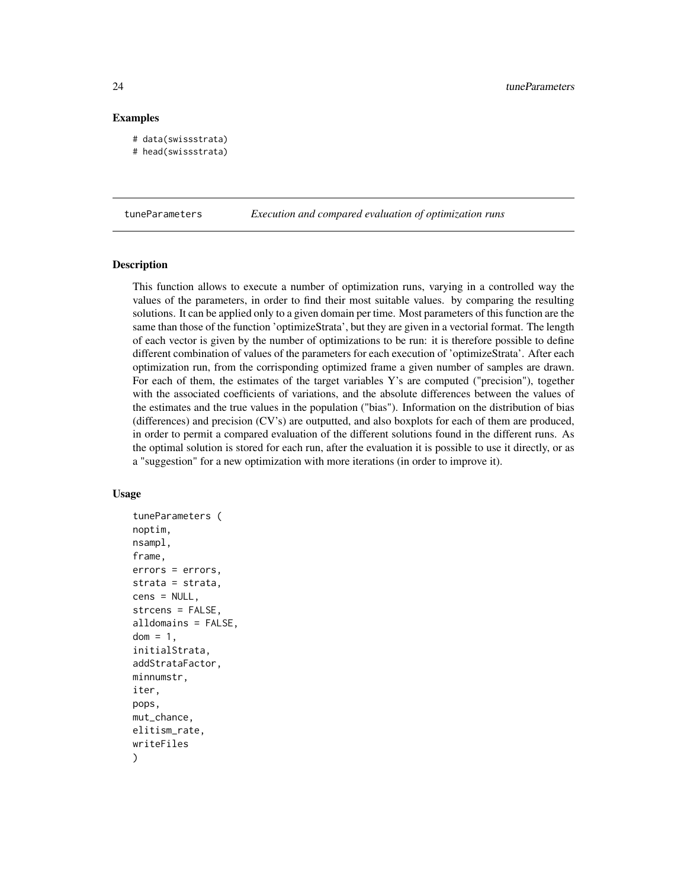#### Examples

```
# data(swissstrata)
# head(swissstrata)
```
tuneParameters *Execution and compared evaluation of optimization runs*

#### Description

This function allows to execute a number of optimization runs, varying in a controlled way the values of the parameters, in order to find their most suitable values. by comparing the resulting solutions. It can be applied only to a given domain per time. Most parameters of this function are the same than those of the function 'optimizeStrata', but they are given in a vectorial format. The length of each vector is given by the number of optimizations to be run: it is therefore possible to define different combination of values of the parameters for each execution of 'optimizeStrata'. After each optimization run, from the corrisponding optimized frame a given number of samples are drawn. For each of them, the estimates of the target variables Y's are computed ("precision"), together with the associated coefficients of variations, and the absolute differences between the values of the estimates and the true values in the population ("bias"). Information on the distribution of bias (differences) and precision (CV's) are outputted, and also boxplots for each of them are produced, in order to permit a compared evaluation of the different solutions found in the different runs. As the optimal solution is stored for each run, after the evaluation it is possible to use it directly, or as a "suggestion" for a new optimization with more iterations (in order to improve it).

#### Usage

```
tuneParameters (
noptim,
nsampl,
frame,
errors = errors,
strata = strata,
cens = NULL,
strcens = FALSE,
alldomains = FALSE,
dom = 1,
initialStrata,
addStrataFactor,
minnumstr,
iter,
pops,
mut_chance,
elitism_rate,
writeFiles
)
```
<span id="page-23-0"></span>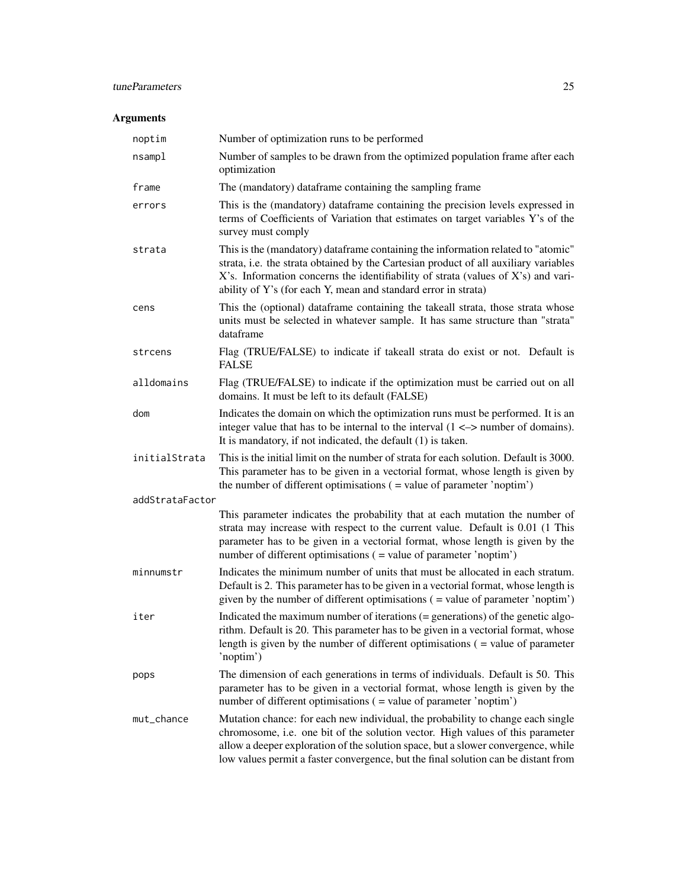### tuneParameters 25

### Arguments

| noptim          | Number of optimization runs to be performed                                                                                                                                                                                                                                                                                                  |
|-----------------|----------------------------------------------------------------------------------------------------------------------------------------------------------------------------------------------------------------------------------------------------------------------------------------------------------------------------------------------|
| nsampl          | Number of samples to be drawn from the optimized population frame after each<br>optimization                                                                                                                                                                                                                                                 |
| frame           | The (mandatory) dataframe containing the sampling frame                                                                                                                                                                                                                                                                                      |
| errors          | This is the (mandatory) dataframe containing the precision levels expressed in<br>terms of Coefficients of Variation that estimates on target variables Y's of the<br>survey must comply                                                                                                                                                     |
| strata          | This is the (mandatory) dataframe containing the information related to "atomic"<br>strata, i.e. the strata obtained by the Cartesian product of all auxiliary variables<br>X's. Information concerns the identifiability of strata (values of X's) and vari-<br>ability of Y's (for each Y, mean and standard error in strata)              |
| cens            | This the (optional) dataframe containing the takeall strata, those strata whose<br>units must be selected in whatever sample. It has same structure than "strata"<br>dataframe                                                                                                                                                               |
| strcens         | Flag (TRUE/FALSE) to indicate if takeall strata do exist or not. Default is<br><b>FALSE</b>                                                                                                                                                                                                                                                  |
| alldomains      | Flag (TRUE/FALSE) to indicate if the optimization must be carried out on all<br>domains. It must be left to its default (FALSE)                                                                                                                                                                                                              |
| dom             | Indicates the domain on which the optimization runs must be performed. It is an<br>integer value that has to be internal to the interval $(1 \le -\ge)$ number of domains).<br>It is mandatory, if not indicated, the default $(1)$ is taken.                                                                                                |
| initialStrata   | This is the initial limit on the number of strata for each solution. Default is 3000.<br>This parameter has to be given in a vectorial format, whose length is given by<br>the number of different optimisations $($ = value of parameter 'noptim' $)$                                                                                       |
| addStrataFactor |                                                                                                                                                                                                                                                                                                                                              |
|                 | This parameter indicates the probability that at each mutation the number of<br>strata may increase with respect to the current value. Default is 0.01 (1 This<br>parameter has to be given in a vectorial format, whose length is given by the<br>number of different optimisations ( = value of parameter 'noptim')                        |
| minnumstr       | Indicates the minimum number of units that must be allocated in each stratum.<br>Default is 2. This parameter has to be given in a vectorial format, whose length is<br>given by the number of different optimisations $($ = value of parameter 'noptim' $)$                                                                                 |
| iter            | Indicated the maximum number of iterations (= generations) of the genetic algo-<br>rithm. Default is 20. This parameter has to be given in a vectorial format, whose<br>length is given by the number of different optimisations $($ = value of parameter<br>'noptim')                                                                       |
| pops            | The dimension of each generations in terms of individuals. Default is 50. This<br>parameter has to be given in a vectorial format, whose length is given by the<br>number of different optimisations ( = value of parameter 'noptim')                                                                                                        |
| mut_chance      | Mutation chance: for each new individual, the probability to change each single<br>chromosome, i.e. one bit of the solution vector. High values of this parameter<br>allow a deeper exploration of the solution space, but a slower convergence, while<br>low values permit a faster convergence, but the final solution can be distant from |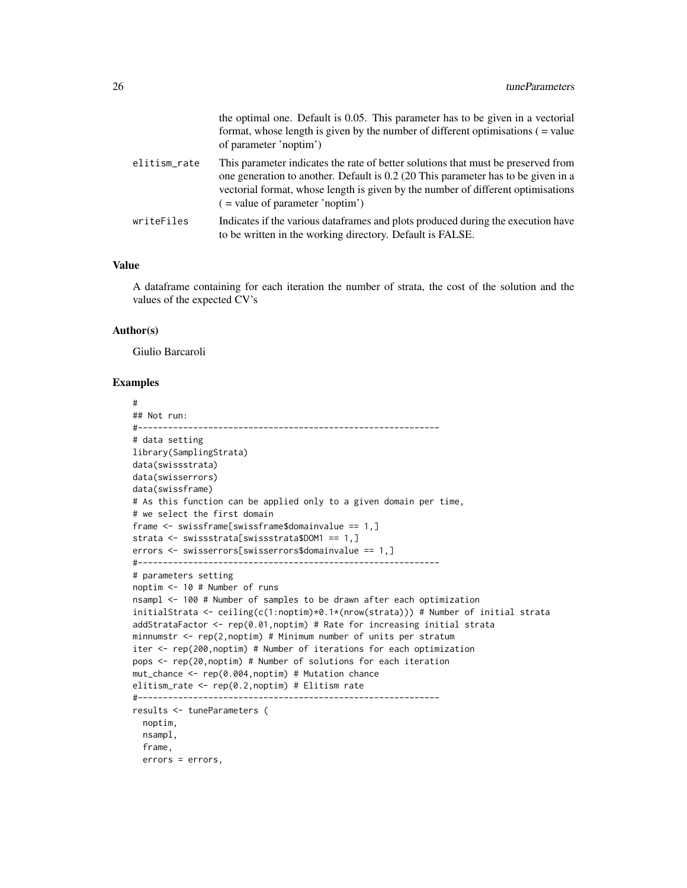|              | the optimal one. Default is 0.05. This parameter has to be given in a vectorial<br>format, whose length is given by the number of different optimisations $($ = value<br>of parameter 'noptim')                                                                                                  |
|--------------|--------------------------------------------------------------------------------------------------------------------------------------------------------------------------------------------------------------------------------------------------------------------------------------------------|
| elitism_rate | This parameter indicates the rate of better solutions that must be preserved from<br>one generation to another. Default is 0.2 (20 This parameter has to be given in a<br>vectorial format, whose length is given by the number of different optimisations<br>$($ = value of parameter 'noptim') |
| writeFiles   | Indicates if the various data frames and plots produced during the execution have<br>to be written in the working directory. Default is FALSE.                                                                                                                                                   |

#### Value

A dataframe containing for each iteration the number of strata, the cost of the solution and the values of the expected CV's

#### Author(s)

Giulio Barcaroli

#### Examples

```
#
## Not run:
#------------------------------------------------------------
# data setting
library(SamplingStrata)
data(swissstrata)
data(swisserrors)
data(swissframe)
# As this function can be applied only to a given domain per time,
# we select the first domain
frame <- swissframe[swissframe$domainvalue == 1,]
strata <- swissstrata[swissstrata$DOM1 == 1,]
errors <- swisserrors[swisserrors$domainvalue == 1,]
#------------------------------------------------------------
# parameters setting
noptim <- 10 # Number of runs
nsampl <- 100 # Number of samples to be drawn after each optimization
initialStrata <- ceiling(c(1:noptim)*0.1*(nrow(strata))) # Number of initial strata
addStrataFactor <- rep(0.01,noptim) # Rate for increasing initial strata
minnumstr \leq rep(2, noptim) # Minimum number of units per stratum
iter <- rep(200,noptim) # Number of iterations for each optimization
pops <- rep(20,noptim) # Number of solutions for each iteration
mut_chance <- rep(0.004,noptim) # Mutation chance
elitism_rate <- rep(0.2,noptim) # Elitism rate
#------------------------------------------------------------
results <- tuneParameters (
 noptim,
 nsampl,
  frame,
  errors = errors,
```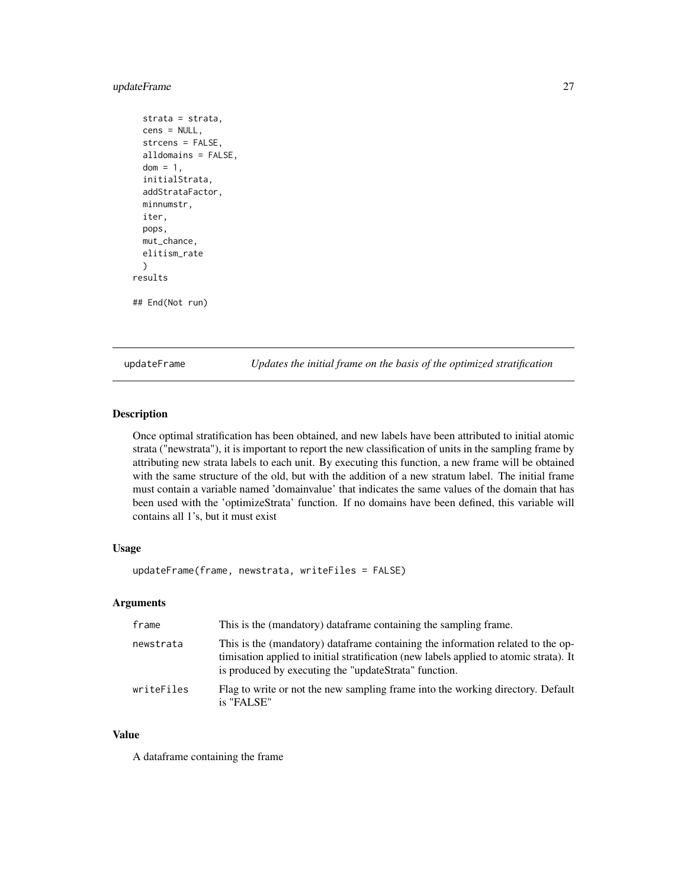#### <span id="page-26-0"></span>updateFrame 27

```
strata = strata,
 cens = NULL,
 strcens = FALSE,
 alldomains = FALSE,
 dom = 1,
 initialStrata,
 addStrataFactor,
 minnumstr,
 iter,
 pops,
 mut_chance,
 elitism_rate
 )
results
## End(Not run)
```
updateFrame *Updates the initial frame on the basis of the optimized stratification*

#### Description

Once optimal stratification has been obtained, and new labels have been attributed to initial atomic strata ("newstrata"), it is important to report the new classification of units in the sampling frame by attributing new strata labels to each unit. By executing this function, a new frame will be obtained with the same structure of the old, but with the addition of a new stratum label. The initial frame must contain a variable named 'domainvalue' that indicates the same values of the domain that has been used with the 'optimizeStrata' function. If no domains have been defined, this variable will contains all 1's, but it must exist

#### Usage

```
updateFrame(frame, newstrata, writeFiles = FALSE)
```
#### Arguments

| frame      | This is the (mandatory) dataframe containing the sampling frame.                                                                                                                                                                   |
|------------|------------------------------------------------------------------------------------------------------------------------------------------------------------------------------------------------------------------------------------|
| newstrata  | This is the (mandatory) dataframe containing the information related to the op-<br>timisation applied to initial stratification (new labels applied to atomic strata). It<br>is produced by executing the "updateStrata" function. |
| writeFiles | Flag to write or not the new sampling frame into the working directory. Default<br>is "FALSE"                                                                                                                                      |

#### Value

A dataframe containing the frame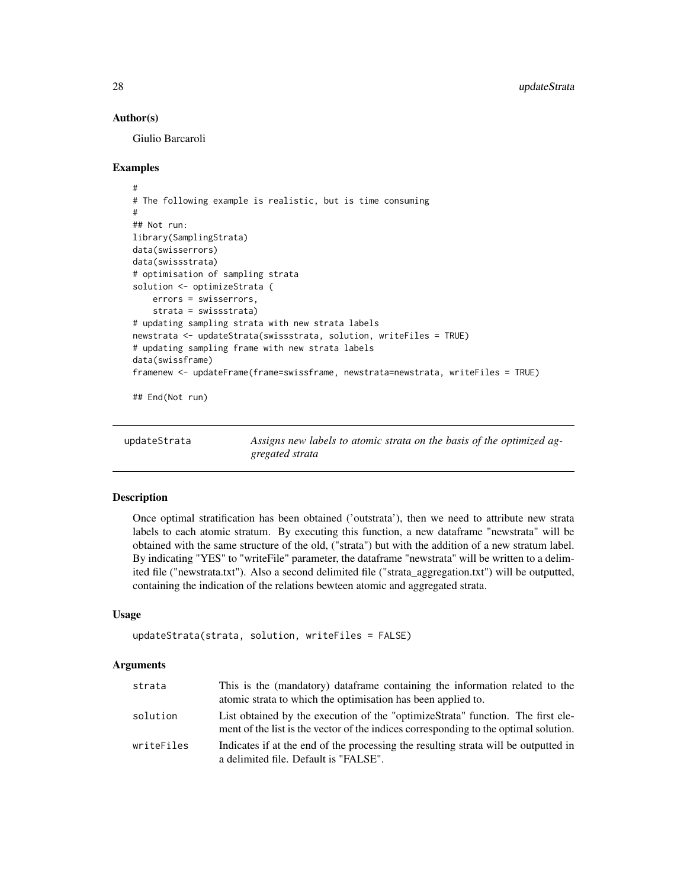#### Author(s)

Giulio Barcaroli

#### Examples

```
#
# The following example is realistic, but is time consuming
#
## Not run:
library(SamplingStrata)
data(swisserrors)
data(swissstrata)
# optimisation of sampling strata
solution <- optimizeStrata (
    errors = swisserrors,
    strata = swissstrata)
# updating sampling strata with new strata labels
newstrata <- updateStrata(swissstrata, solution, writeFiles = TRUE)
# updating sampling frame with new strata labels
data(swissframe)
framenew <- updateFrame(frame=swissframe, newstrata=newstrata, writeFiles = TRUE)
## End(Not run)
```
updateStrata *Assigns new labels to atomic strata on the basis of the optimized aggregated strata*

#### Description

Once optimal stratification has been obtained ('outstrata'), then we need to attribute new strata labels to each atomic stratum. By executing this function, a new dataframe "newstrata" will be obtained with the same structure of the old, ("strata") but with the addition of a new stratum label. By indicating "YES" to "writeFile" parameter, the dataframe "newstrata" will be written to a delimited file ("newstrata.txt"). Also a second delimited file ("strata\_aggregation.txt") will be outputted, containing the indication of the relations bewteen atomic and aggregated strata.

#### Usage

```
updateStrata(strata, solution, writeFiles = FALSE)
```
#### Arguments

| strata     | This is the (mandatory) data frame containing the information related to the<br>atomic strata to which the optimisation has been applied to.                            |
|------------|-------------------------------------------------------------------------------------------------------------------------------------------------------------------------|
| solution   | List obtained by the execution of the "optimizeStrata" function. The first ele-<br>ment of the list is the vector of the indices corresponding to the optimal solution. |
| writeFiles | Indicates if at the end of the processing the resulting strata will be outputted in<br>a delimited file. Default is "FALSE".                                            |

<span id="page-27-0"></span>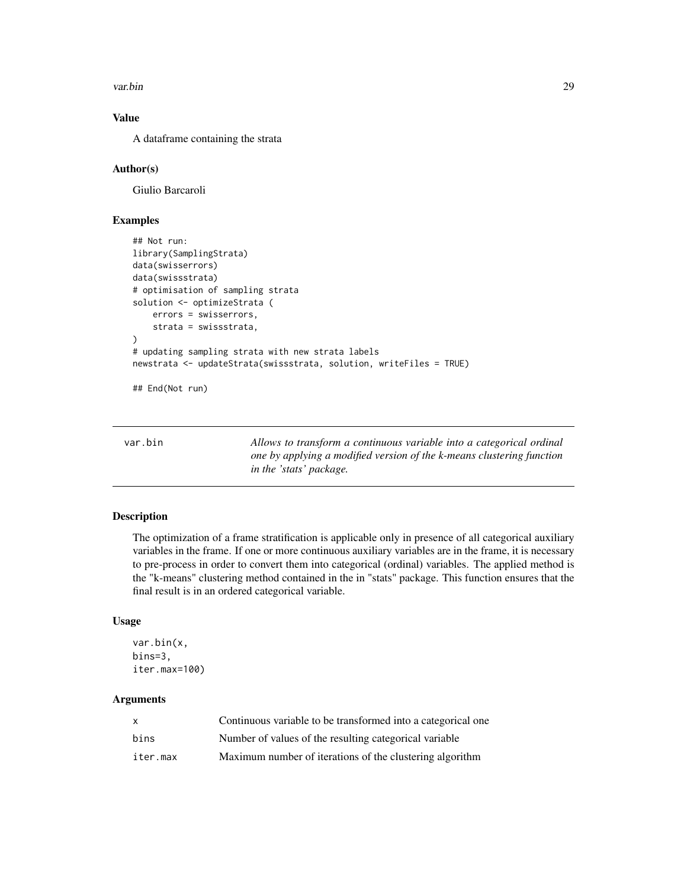<span id="page-28-0"></span>var.bin 29

#### Value

A dataframe containing the strata

#### Author(s)

Giulio Barcaroli

#### Examples

```
## Not run:
library(SamplingStrata)
data(swisserrors)
data(swissstrata)
# optimisation of sampling strata
solution <- optimizeStrata (
    errors = swisserrors,
    strata = swissstrata,
)
# updating sampling strata with new strata labels
newstrata <- updateStrata(swissstrata, solution, writeFiles = TRUE)
```
## End(Not run)

| var.bin |  |  |
|---------|--|--|
|         |  |  |

Allows to transform a continuous variable into a categorical ordinal *one by applying a modified version of the k-means clustering function in the 'stats' package.*

#### Description

The optimization of a frame stratification is applicable only in presence of all categorical auxiliary variables in the frame. If one or more continuous auxiliary variables are in the frame, it is necessary to pre-process in order to convert them into categorical (ordinal) variables. The applied method is the "k-means" clustering method contained in the in "stats" package. This function ensures that the final result is in an ordered categorical variable.

#### Usage

```
var.bin(x,
bins=3,
iter.max=100)
```
#### Arguments

| $\mathsf{x}$ | Continuous variable to be transformed into a categorical one |
|--------------|--------------------------------------------------------------|
| bins         | Number of values of the resulting categorical variable       |
| iter.max     | Maximum number of iterations of the clustering algorithm     |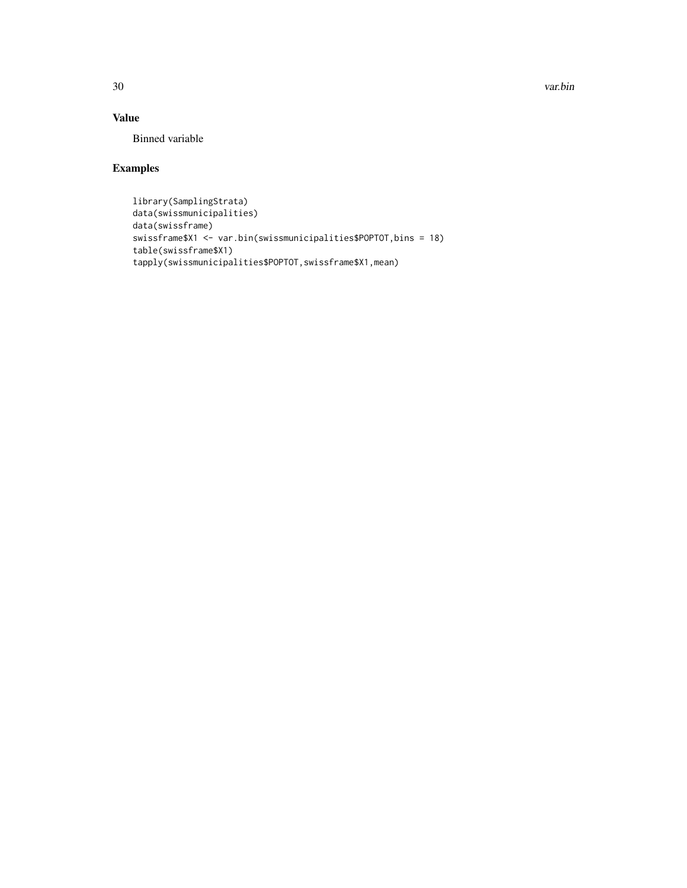30 var.bin

#### Value

Binned variable

#### Examples

```
library(SamplingStrata)
data(swissmunicipalities)
data(swissframe)
swissframe$X1 <- var.bin(swissmunicipalities$POPTOT,bins = 18)
table(swissframe$X1)
tapply(swissmunicipalities$POPTOT,swissframe$X1,mean)
```